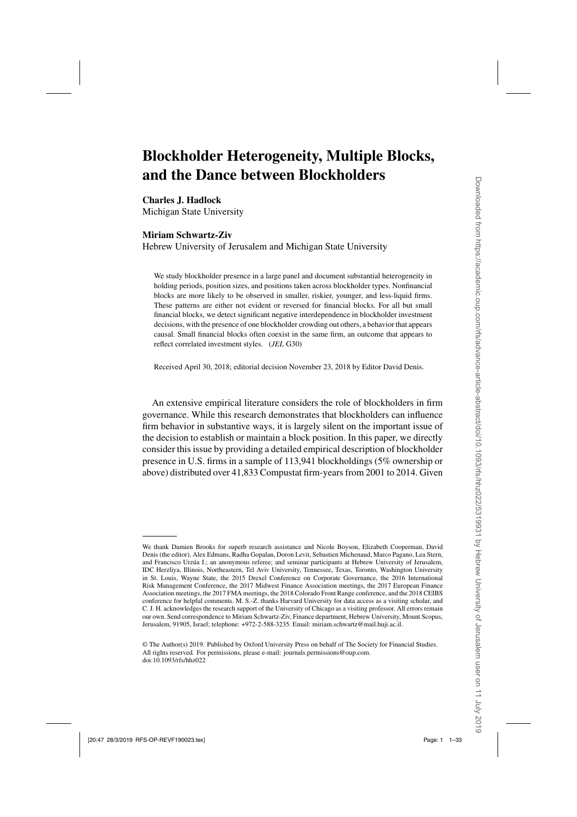# **Blockholder Heterogeneity, Multiple Blocks, and the Dance between Blockholders**

**Charles J. Hadlock** Michigan State University

# **Miriam Schwartz-Ziv**

Hebrew University of Jerusalem and Michigan State University

We study blockholder presence in a large panel and document substantial heterogeneity in holding periods, position sizes, and positions taken across blockholder types. Nonfinancial blocks are more likely to be observed in smaller, riskier, younger, and less-liquid firms. These patterns are either not evident or reversed for financial blocks. For all but small financial blocks, we detect significant negative interdependence in blockholder investment decisions, with the presence of one blockholder crowding out others, a behavior that appears causal. Small financial blocks often coexist in the same firm, an outcome that appears to reflect correlated investment styles. (*JEL* G30)

Received April 30, 2018; editorial decision November 23, 2018 by Editor David Denis.

An extensive empirical literature considers the role of blockholders in firm governance. While this research demonstrates that blockholders can influence firm behavior in substantive ways, it is largely silent on the important issue of the decision to establish or maintain a block position. In this paper, we directly consider this issue by providing a detailed empirical description of blockholder presence in U.S. firms in a sample of 113,941 blockholdings (5% ownership or above) distributed over 41,833 Compustat firm-years from 2001 to 2014. Given

We thank Damien Brooks for superb research assistance and Nicole Boyson, Elizabeth Cooperman, David Denis (the editor), Alex Edmans, Radha Gopalan, Doron Levit, Sebastien Michenaud, Marco Pagano, Lea Stern, and Francisco Urzúa I.; an anonymous referee; and seminar participants at Hebrew University of Jerusalem, IDC Herzliya, Illinois, Northeastern, Tel Aviv University, Tennessee, Texas, Toronto, Washington University in St. Louis, Wayne State, the 2015 Drexel Conference on Corporate Governance, the 2016 International Risk Management Conference, the 2017 Midwest Finance Association meetings, the 2017 European Finance Association meetings, the 2017 FMA meetings, the 2018 Colorado Front Range conference, and the 2018 CEIBS conference for helpful comments. M. S.-Z. thanks Harvard University for data access as a visiting scholar, and C. J. H. acknowledges the research support of the University of Chicago as a visiting professor. All errors remain our own. Send correspondence to Miriam Schwartz-Ziv, Finance department, Hebrew University, Mount Scopus, Jerusalem, 91905, Israel; telephone: +972-2-588-3235. Email: miriam.schwartz@mail.huji.ac.il.

<sup>©</sup> The Author(s) 2019. Published by Oxford University Press on behalf of The Society for Financial Studies. All rights reserved. For permissions, please e-mail: journals.permissions@oup.com. doi:10.1093/rfs/hhz022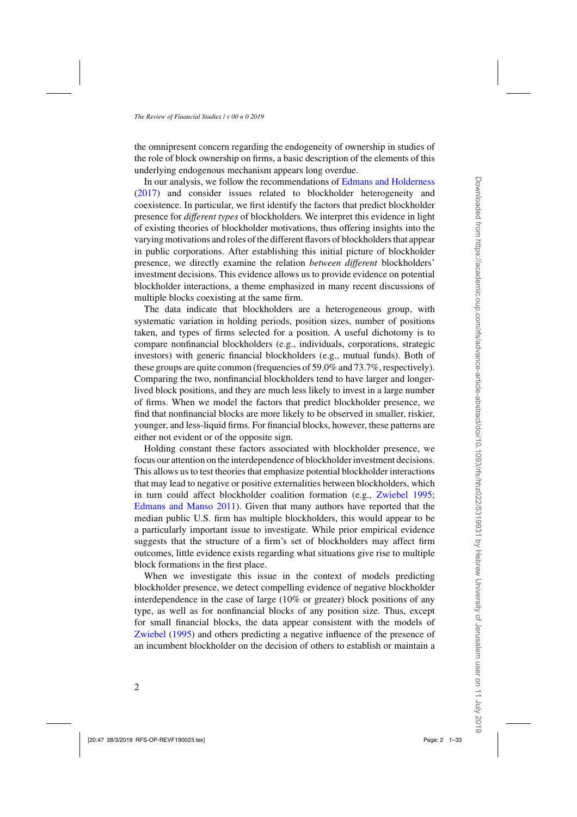the omnipresent concern regarding the endogeneity of ownership in studies of the role of block ownership on firms, a basic description of the elements of this underlying endogenous mechanism appears long overdue.

In our analysis, we follow the recommendations of [Edmans and Holderness](#page-30-0) [\(2017\)](#page-30-0) and consider issues related to blockholder heterogeneity and coexistence. In particular, we first identify the factors that predict blockholder presence for *different types* of blockholders. We interpret this evidence in light of existing theories of blockholder motivations, thus offering insights into the varying motivations and roles of the different flavors of blockholders that appear in public corporations. After establishing this initial picture of blockholder presence, we directly examine the relation *between different* blockholders' investment decisions. This evidence allows us to provide evidence on potential blockholder interactions, a theme emphasized in many recent discussions of multiple blocks coexisting at the same firm.

The data indicate that blockholders are a heterogeneous group, with systematic variation in holding periods, position sizes, number of positions taken, and types of firms selected for a position. A useful dichotomy is to compare nonfinancial blockholders (e.g., individuals, corporations, strategic investors) with generic financial blockholders (e.g., mutual funds). Both of these groups are quite common (frequencies of 59.0% and 73.7%, respectively). Comparing the two, nonfinancial blockholders tend to have larger and longerlived block positions, and they are much less likely to invest in a large number of firms. When we model the factors that predict blockholder presence, we find that nonfinancial blocks are more likely to be observed in smaller, riskier, younger, and less-liquid firms. For financial blocks, however, these patterns are either not evident or of the opposite sign.

Holding constant these factors associated with blockholder presence, we focus our attention on the interdependence of blockholder investment decisions. This allows us to test theories that emphasize potential blockholder interactions that may lead to negative or positive externalities between blockholders, which in turn could affect blockholder coalition formation (e.g., [Zwiebel 1995](#page-31-0); [Edmans and Manso 2011](#page-30-0)). Given that many authors have reported that the median public U.S. firm has multiple blockholders, this would appear to be a particularly important issue to investigate. While prior empirical evidence suggests that the structure of a firm's set of blockholders may affect firm outcomes, little evidence exists regarding what situations give rise to multiple block formations in the first place.

When we investigate this issue in the context of models predicting blockholder presence, we detect compelling evidence of negative blockholder interdependence in the case of large (10% or greater) block positions of any type, as well as for nonfinancial blocks of any position size. Thus, except for small financial blocks, the data appear consistent with the models of [Zwiebel](#page-31-0) [\(1995](#page-31-0)) and others predicting a negative influence of the presence of an incumbent blockholder on the decision of others to establish or maintain a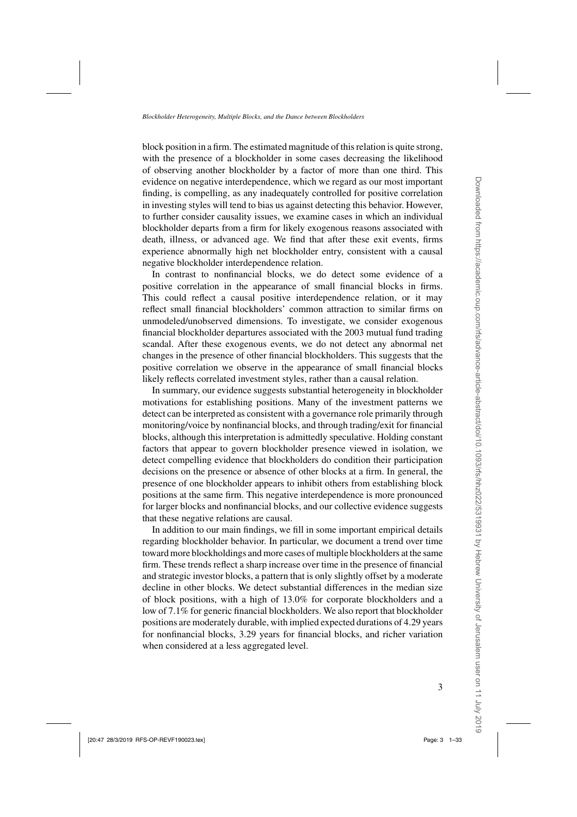block position in a firm. The estimated magnitude of this relation is quite strong, with the presence of a blockholder in some cases decreasing the likelihood of observing another blockholder by a factor of more than one third. This evidence on negative interdependence, which we regard as our most important finding, is compelling, as any inadequately controlled for positive correlation in investing styles will tend to bias us against detecting this behavior. However, to further consider causality issues, we examine cases in which an individual blockholder departs from a firm for likely exogenous reasons associated with death, illness, or advanced age. We find that after these exit events, firms experience abnormally high net blockholder entry, consistent with a causal negative blockholder interdependence relation.

In contrast to nonfinancial blocks, we do detect some evidence of a positive correlation in the appearance of small financial blocks in firms. This could reflect a causal positive interdependence relation, or it may reflect small financial blockholders' common attraction to similar firms on unmodeled/unobserved dimensions. To investigate, we consider exogenous financial blockholder departures associated with the 2003 mutual fund trading scandal. After these exogenous events, we do not detect any abnormal net changes in the presence of other financial blockholders. This suggests that the positive correlation we observe in the appearance of small financial blocks likely reflects correlated investment styles, rather than a causal relation.

In summary, our evidence suggests substantial heterogeneity in blockholder motivations for establishing positions. Many of the investment patterns we detect can be interpreted as consistent with a governance role primarily through monitoring/voice by nonfinancial blocks, and through trading/exit for financial blocks, although this interpretation is admittedly speculative. Holding constant factors that appear to govern blockholder presence viewed in isolation, we detect compelling evidence that blockholders do condition their participation decisions on the presence or absence of other blocks at a firm. In general, the presence of one blockholder appears to inhibit others from establishing block positions at the same firm. This negative interdependence is more pronounced for larger blocks and nonfinancial blocks, and our collective evidence suggests that these negative relations are causal.

In addition to our main findings, we fill in some important empirical details regarding blockholder behavior. In particular, we document a trend over time toward more blockholdings and more cases of multiple blockholders at the same firm. These trends reflect a sharp increase over time in the presence of financial and strategic investor blocks, a pattern that is only slightly offset by a moderate decline in other blocks. We detect substantial differences in the median size of block positions, with a high of 13.0% for corporate blockholders and a low of 7.1% for generic financial blockholders. We also report that blockholder positions are moderately durable, with implied expected durations of 4.29 years for nonfinancial blocks, 3.29 years for financial blocks, and richer variation when considered at a less aggregated level.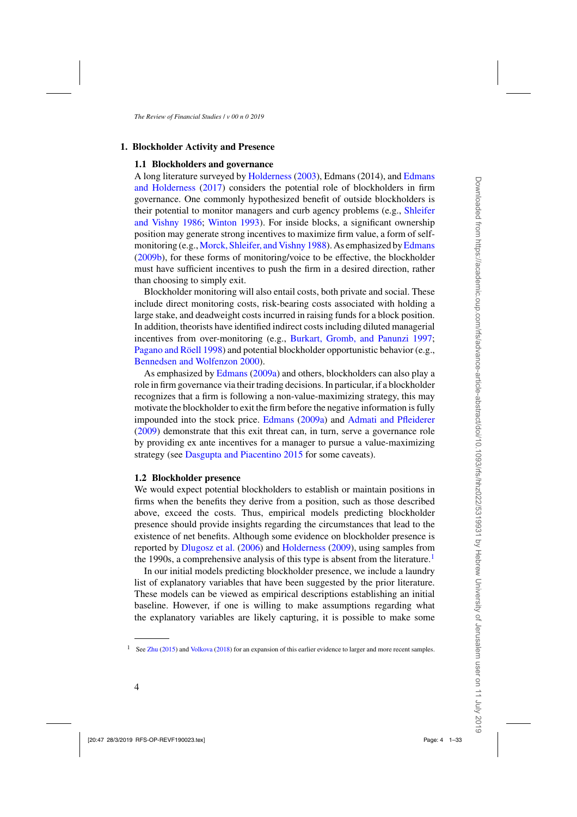# **1. Blockholder Activity and Presence**

# **1.1 Blockholders and governance**

A long literature surveyed by [Holderness](#page-30-0) [\(2003\),](#page-30-0) [Edmans](#page-30-0) [\(2014\),](#page-30-0) [and](#page-30-0) Edmans and Holderness [\(2017\)](#page-30-0) considers the potential role of blockholders in firm governance. One commonly hypothesized benefit of outside blockholders is their poten[tial to monitor managers and curb agency problems \(e.g.,](#page-31-0) Shleifer and Vishny [1986](#page-31-0); [Winton 1993](#page-31-0)). For inside blocks, a significant ownership position may generate strong incentives to maximize firm value, a form of self-monitoring (e.g., [Morck, Shleifer, and Vishny 1988\)](#page-31-0). As emphasized by [Edmans](#page-30-0) [\(2009b\)](#page-30-0), for these forms of monitoring/voice to be effective, the blockholder must have sufficient incentives to push the firm in a desired direction, rather than choosing to simply exit.

Blockholder monitoring will also entail costs, both private and social. These include direct monitoring costs, risk-bearing costs associated with holding a large stake, and deadweight costs incurred in raising funds for a block position. In addition, theorists have identified indirect costs including diluted managerial incentives from over-monitoring (e.g., [Burkart, Gromb, and Panunzi 1997](#page-29-0); [Pagano and Röell 1998](#page-31-0)) and potential blockholder opportunistic behavior (e.g., [Bennedsen and Wolfenzon 2000](#page-29-0)).

As emphasized by [Edmans](#page-30-0) [\(2009a](#page-30-0)) and others, blockholders can also play a role in firm governance via their trading decisions. In particular, if a blockholder recognizes that a firm is following a non-value-maximizing strategy, this may motivate the blockholder to exit the firm before the negative information is fully impounded into the stock price. [Edmans](#page-30-0) [\(2009a](#page-30-0)) and [Admati and Pfleiderer](#page-29-0) [\(2009\)](#page-29-0) demonstrate that this exit threat can, in turn, serve a governance role by providing ex ante incentives for a manager to pursue a value-maximizing strategy (see [Dasgupta and Piacentino 2015](#page-29-0) for some caveats).

# **1.2 Blockholder presence**

We would expect potential blockholders to establish or maintain positions in firms when the benefits they derive from a position, such as those described above, exceed the costs. Thus, empirical models predicting blockholder presence should provide insights regarding the circumstances that lead to the existence of net benefits. Although some evidence on blockholder presence is reported by [Dlugosz et al.](#page-30-0) [\(2006\)](#page-30-0) and [Holderness](#page-30-0) [\(2009\)](#page-30-0), using samples from the 1990s, a comprehensive analysis of this type is absent from the literature.<sup>1</sup>

In our initial models predicting blockholder presence, we include a laundry list of explanatory variables that have been suggested by the prior literature. These models can be viewed as empirical descriptions establishing an initial baseline. However, if one is willing to make assumptions regarding what the explanatory variables are likely capturing, it is possible to make some

<sup>&</sup>lt;sup>1</sup> See [Zhu](#page-31-0) [\(2015\)](#page-31-0) and [Volkova](#page-31-0) [\(2018\)](#page-31-0) for an expansion of this earlier evidence to larger and more recent samples.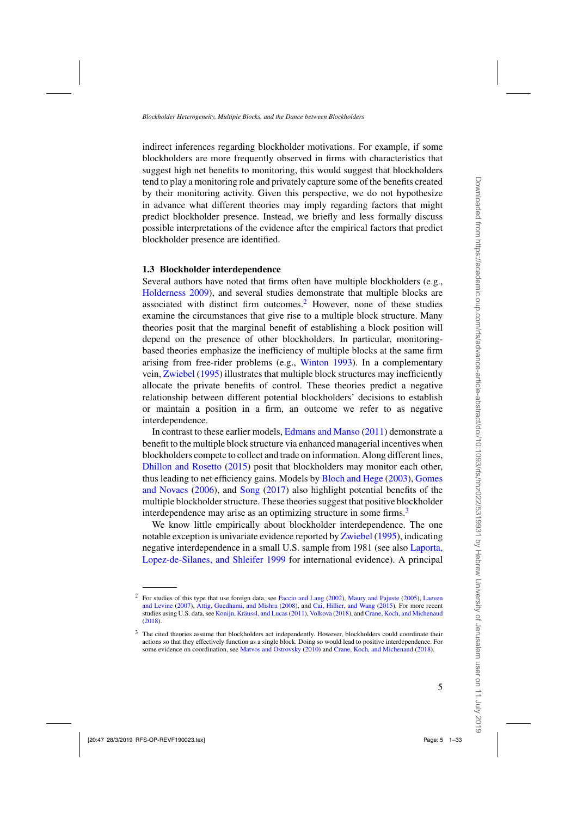indirect inferences regarding blockholder motivations. For example, if some blockholders are more frequently observed in firms with characteristics that suggest high net benefits to monitoring, this would suggest that blockholders tend to play a monitoring role and privately capture some of the benefits created by their monitoring activity. Given this perspective, we do not hypothesize in advance what different theories may imply regarding factors that might predict blockholder presence. Instead, we briefly and less formally discuss possible interpretations of the evidence after the empirical factors that predict blockholder presence are identified.

## **1.3 Blockholder interdependence**

Several authors have noted that firms often have multiple blockholders (e.g., [Holderness 2009](#page-30-0)), and several studies demonstrate that multiple blocks are associated with distinct firm outcomes.<sup>2</sup> However, none of these studies examine the circumstances that give rise to a multiple block structure. Many theories posit that the marginal benefit of establishing a block position will depend on the presence of other blockholders. In particular, monitoringbased theories emphasize the inefficiency of multiple blocks at the same firm arising from free-rider problems (e.g., [Winton 1993](#page-31-0)). In a complementary vein, [Zwiebel](#page-31-0) [\(1995](#page-31-0)) illustrates that multiple block structures may inefficiently allocate the private benefits of control. These theories predict a negative relationship between different potential blockholders' decisions to establish or maintain a position in a firm, an outcome we refer to as negative interdependence.

In contrast to these earlier models, [Edmans and Manso](#page-30-0) [\(2011](#page-30-0)) demonstrate a benefit to the multiple block structure via enhanced managerial incentives when blockholders compete to collect and trade on information. Along different lines, [Dhillon and Rosetto](#page-29-0) [\(2015\)](#page-29-0) posit that blockholders may monitor each other, thus leadin[g to net efficiency gains. Models by](#page-30-0) [Bloch and Hege](#page-29-0) [\(2003](#page-29-0)), Gomes and Novaes [\(2006](#page-30-0)), and [Song](#page-31-0) [\(2017\)](#page-31-0) also highlight potential benefits of the multiple blockholder structure. These theories suggest that positive blockholder interdependence may arise as an optimizing structure in some firms.<sup>3</sup>

We know little empirically about blockholder interdependence. The one notable exception is univariate evidence reported by [Zwiebel](#page-31-0) [\(1995](#page-31-0)), indicating negative interdependence in a s[mall U.S. sample from 1981 \(see also](#page-31-0) Laporta, Lopez-de-Silanes, and Shleifer [1999](#page-31-0) for international evidence). A principal

<sup>&</sup>lt;sup>2</sup> For studies [of](#page-30-0) [this](#page-30-0) [type](#page-30-0) [that](#page-30-0) [use](#page-30-0) [foreign](#page-30-0) [data,](#page-30-0) [see](#page-30-0) [Faccio and Lang](#page-30-0) [\(2002](#page-30-0)), [Maury and Pajuste](#page-31-0) [\(2005](#page-31-0)), Laeven and Levine [\(2007](#page-30-0)), [Attig, Guedhami, and Mishra](#page-29-0) [\(2008](#page-29-0)), and [Cai, Hillier, and Wang](#page-29-0) [\(2015\)](#page-29-0). For more recent studies using U.S. data, see [Konijn, Kräussl, and Lucas\(2011\)](#page-30-0), [Volkova](#page-31-0) [\(2018\)](#page-31-0), and [Crane, Koch, and Michenaud](#page-29-0) [\(2018\)](#page-29-0).

<sup>&</sup>lt;sup>3</sup> The cited theories assume that blockholders act independently. However, blockholders could coordinate their actions so that they effectively function as a single block. Doing so would lead to positive interdependence. For some evidence on coordination, see [Matvos and Ostrovsky](#page-31-0) [\(2010](#page-31-0)) and [Crane, Koch, and Michenaud](#page-29-0) [\(2018\)](#page-29-0).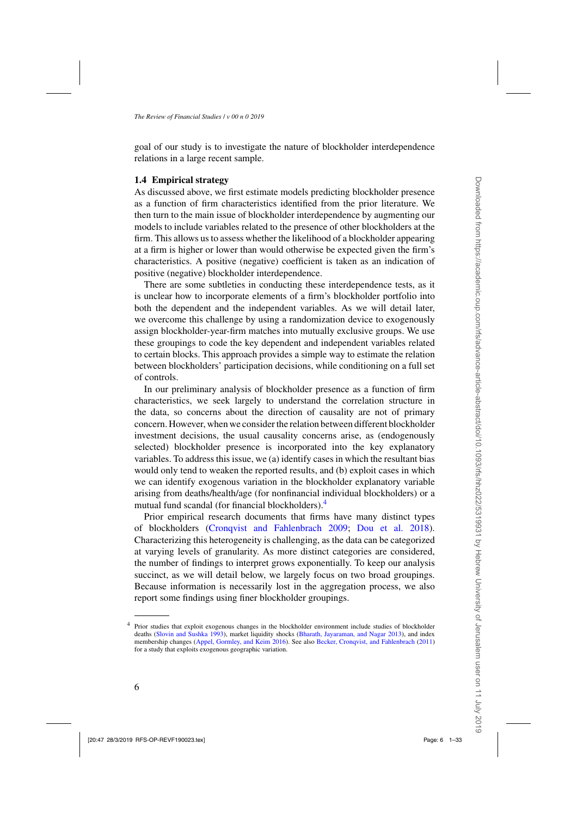goal of our study is to investigate the nature of blockholder interdependence relations in a large recent sample.

### **1.4 Empirical strategy**

As discussed above, we first estimate models predicting blockholder presence as a function of firm characteristics identified from the prior literature. We then turn to the main issue of blockholder interdependence by augmenting our models to include variables related to the presence of other blockholders at the firm. This allows us to assess whether the likelihood of a blockholder appearing at a firm is higher or lower than would otherwise be expected given the firm's characteristics. A positive (negative) coefficient is taken as an indication of positive (negative) blockholder interdependence.

There are some subtleties in conducting these interdependence tests, as it is unclear how to incorporate elements of a firm's blockholder portfolio into both the dependent and the independent variables. As we will detail later, we overcome this challenge by using a randomization device to exogenously assign blockholder-year-firm matches into mutually exclusive groups. We use these groupings to code the key dependent and independent variables related to certain blocks. This approach provides a simple way to estimate the relation between blockholders' participation decisions, while conditioning on a full set of controls.

In our preliminary analysis of blockholder presence as a function of firm characteristics, we seek largely to understand the correlation structure in the data, so concerns about the direction of causality are not of primary concern. However, when we consider the relation between different blockholder investment decisions, the usual causality concerns arise, as (endogenously selected) blockholder presence is incorporated into the key explanatory variables. To address this issue, we (a) identify cases in which the resultant bias would only tend to weaken the reported results, and (b) exploit cases in which we can identify exogenous variation in the blockholder explanatory variable arising from deaths/health/age (for nonfinancial individual blockholders) or a mutual fund scandal (for financial blockholders).<sup>4</sup>

Prior empirical research documents that firms have many distinct types of blockholders [\(Cronqvist and Fahlenbrach 2009](#page-29-0); [Dou et al. 2018](#page-30-0)). Characterizing this heterogeneity is challenging, as the data can be categorized at varying levels of granularity. As more distinct categories are considered, the number of findings to interpret grows exponentially. To keep our analysis succinct, as we will detail below, we largely focus on two broad groupings. Because information is necessarily lost in the aggregation process, we also report some findings using finer blockholder groupings.

<sup>4</sup> Prior studies that exploit exogenous changes in the blockholder environment include studies of blockholder deaths [\(Slovin and Sushka 1993](#page-31-0)), market liquidity shocks [\(Bharath, Jayaraman, and Nagar 2013](#page-29-0)), and index membership changes [\(Appel, Gormley, and Keim 2016\)](#page-29-0). See also [Becker, Cronqvist, and Fahlenbrach](#page-29-0) [\(2011\)](#page-29-0) for a study that exploits exogenous geographic variation.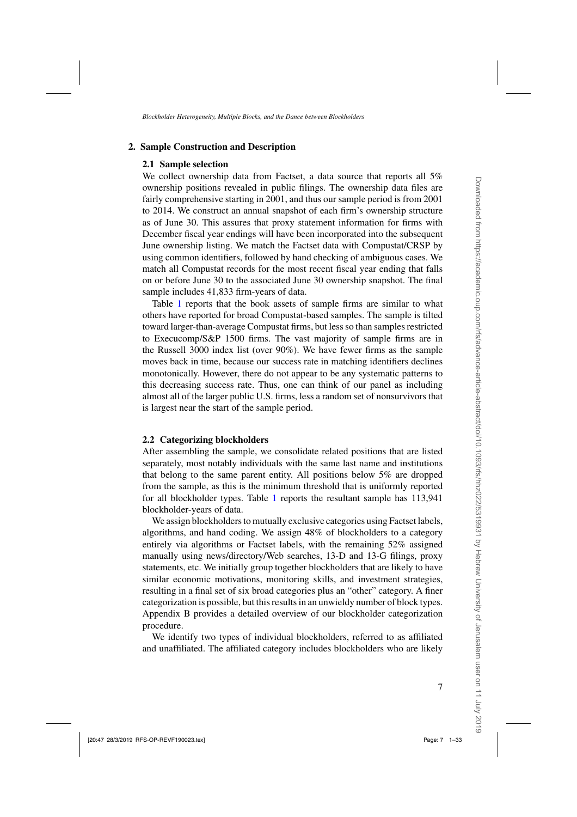## **2. Sample Construction and Description**

# **2.1 Sample selection**

We collect ownership data from Factset, a data source that reports all 5% ownership positions revealed in public filings. The ownership data files are fairly comprehensive starting in 2001, and thus our sample period is from 2001 to 2014. We construct an annual snapshot of each firm's ownership structure as of June 30. This assures that proxy statement information for firms with December fiscal year endings will have been incorporated into the subsequent June ownership listing. We match the Factset data with Compustat/CRSP by using common identifiers, followed by hand checking of ambiguous cases. We match all Compustat records for the most recent fiscal year ending that falls on or before June 30 to the associated June 30 ownership snapshot. The final sample includes 41,833 firm-years of data.

Table [1](#page-7-0) reports that the book assets of sample firms are similar to what others have reported for broad Compustat-based samples. The sample is tilted toward larger-than-average Compustat firms, but less so than samples restricted to Execucomp/S&P 1500 firms. The vast majority of sample firms are in the Russell 3000 index list (over 90%). We have fewer firms as the sample moves back in time, because our success rate in matching identifiers declines monotonically. However, there do not appear to be any systematic patterns to this decreasing success rate. Thus, one can think of our panel as including almost all of the larger public U.S. firms, less a random set of nonsurvivors that is largest near the start of the sample period.

# **2.2 Categorizing blockholders**

After assembling the sample, we consolidate related positions that are listed separately, most notably individuals with the same last name and institutions that belong to the same parent entity. All positions below 5% are dropped from the sample, as this is the minimum threshold that is uniformly reported for all blockholder types. Table [1](#page-7-0) reports the resultant sample has 113,941 blockholder-years of data.

We assign blockholders to mutually exclusive categories using Factset labels, algorithms, and hand coding. We assign 48% of blockholders to a category entirely via algorithms or Factset labels, with the remaining 52% assigned manually using news/directory/Web searches, 13-D and 13-G filings, proxy statements, etc. We initially group together blockholders that are likely to have similar economic motivations, monitoring skills, and investment strategies, resulting in a final set of six broad categories plus an "other" category. A finer categorization is possible, but this results in an unwieldy number of block types. Appendix B provides a detailed overview of our blockholder categorization procedure.

We identify two types of individual blockholders, referred to as affiliated and unaffiliated. The affiliated category includes blockholders who are likely

 $\geq$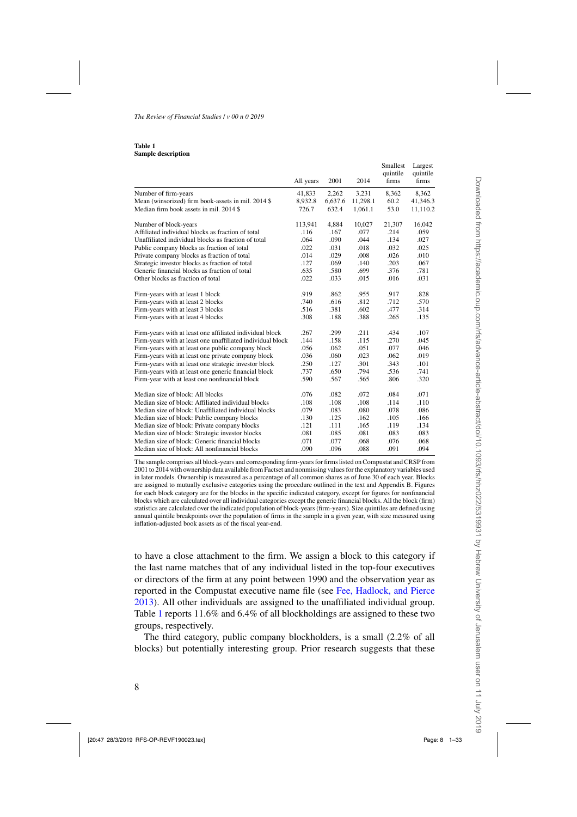#### <span id="page-7-0"></span>**Table 1 Sample description**

|                                                            | All years | 2001    | 2014     | Smallest<br>quintile<br>firms | Largest<br>quintile<br>firms |
|------------------------------------------------------------|-----------|---------|----------|-------------------------------|------------------------------|
| Number of firm-years                                       | 41,833    | 2,262   | 3,231    | 8,362                         | 8,362                        |
| Mean (winsorized) firm book-assets in mil. 2014 \$         | 8,932.8   | 6,637.6 | 11,298.1 | 60.2                          | 41,346.3                     |
| Median firm book assets in mil. 2014 \$                    | 726.7     | 632.4   | 1,061.1  | 53.0                          | 11,110.2                     |
| Number of block-years                                      | 113,941   | 4,884   | 10,027   | 21,307                        | 16,042                       |
| Affiliated individual blocks as fraction of total          | .116      | .167    | .077     | .214                          | .059                         |
| Unaffiliated individual blocks as fraction of total        | .064      | .090    | .044     | .134                          | .027                         |
| Public company blocks as fraction of total                 | .022      | .031    | .018     | .032                          | .025                         |
| Private company blocks as fraction of total                | .014      | .029    | .008     | .026                          | .010                         |
| Strategic investor blocks as fraction of total             | .127      | .069    | .140     | .203                          | .067                         |
| Generic financial blocks as fraction of total              | .635      | .580    | .699     | .376                          | .781                         |
| Other blocks as fraction of total                          | .022      | .033    | .015     | .016                          | .031                         |
| Firm-years with at least 1 block                           | .919      | .862    | .955     | .917                          | .828                         |
| Firm-years with at least 2 blocks                          | .740      | .616    | .812     | .712                          | .570                         |
| Firm-years with at least 3 blocks                          | .516      | .381    | .602     | .477                          | .314                         |
| Firm-years with at least 4 blocks                          | .308      | .188    | .388     | .265                          | .135                         |
| Firm-years with at least one affiliated individual block   | .267      | .299    | .211     | .434                          | .107                         |
| Firm-years with at least one unaffiliated individual block | .144      | .158    | .115     | .270                          | .045                         |
| Firm-years with at least one public company block          | .056      | .062    | .051     | .077                          | .046                         |
| Firm-years with at least one private company block         | .036      | .060    | .023     | .062                          | .019                         |
| Firm-years with at least one strategic investor block      | .250      | .127    | .301     | .343                          | .101                         |
| Firm-years with at least one generic financial block       | .737      | .650    | .794     | .536                          | .741                         |
| Firm-year with at least one nonfinancial block             | .590      | .567    | .565     | .806                          | .320                         |
| Median size of block: All blocks                           | .076      | .082    | .072     | .084                          | .071                         |
| Median size of block: Affiliated individual blocks         | .108      | .108    | .108     | .114                          | .110                         |
| Median size of block: Unaffiliated individual blocks       | .079      | .083    | .080     | .078                          | .086                         |
| Median size of block: Public company blocks                | .130      | .125    | .162     | .105                          | .166                         |
| Median size of block: Private company blocks               | .121      | .111    | .165     | .119                          | .134                         |
| Median size of block: Strategic investor blocks            | .081      | .085    | .081     | .083                          | .083                         |
| Median size of block: Generic financial blocks             | .071      | .077    | .068     | .076                          | .068                         |
| Median size of block: All nonfinancial blocks              | .090      | .096    | .088     | .091                          | .094                         |

The sample comprises all block-years and corresponding firm-years for firms listed on Compustat and CRSP from 2001 to 2014 with ownership data available from Factset and nonmissing values for the explanatory variables used in later models. Ownership is measured as a percentage of all common shares as of June 30 of each year. Blocks are assigned to mutually exclusive categories using the procedure outlined in the text and Appendix B. Figures for each block category are for the blocks in the specific indicated category, except for figures for nonfinancial blocks which are calculated over all individual categories except the generic financial blocks. All the block (firm) statistics are calculated over the indicated population of block-years (firm-years). Size quintiles are defined using annual quintile breakpoints over the population of firms in the sample in a given year, with size measured using inflation-adjusted book assets as of the fiscal year-end.

to have a close attachment to the firm. We assign a block to this category if the last name matches that of any individual listed in the top-four executives or directors of the firm at any point between 1990 and the observation year as reported in the Compustat executive name file (see [Fee, Hadlock, and Pierce](#page-30-0) [2013](#page-30-0)). All other individuals are assigned to the unaffiliated individual group. Table 1 reports 11.6% and 6.4% of all blockholdings are assigned to these two groups, respectively.

The third category, public company blockholders, is a small (2.2% of all blocks) but potentially interesting group. Prior research suggests that these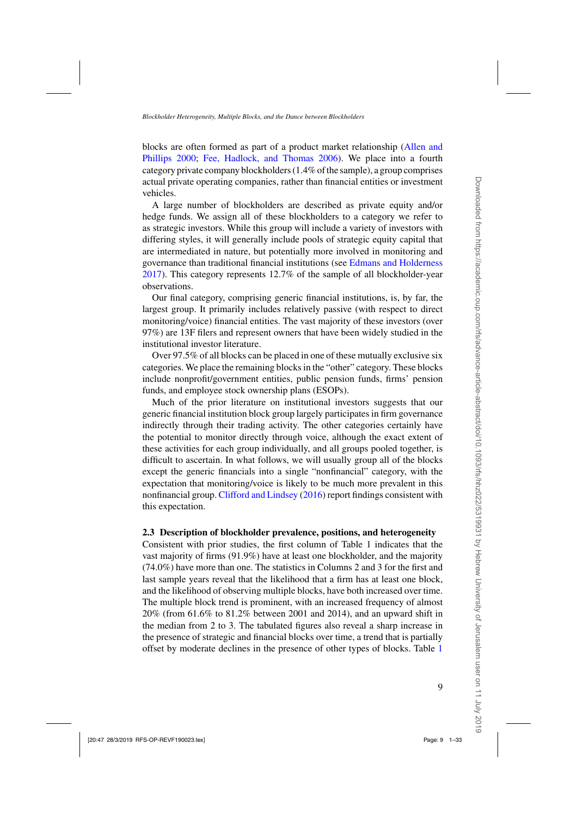blocks [are](#page-29-0) [often](#page-29-0) [formed](#page-29-0) [as](#page-29-0) [part](#page-29-0) [of](#page-29-0) [a](#page-29-0) [product](#page-29-0) [market](#page-29-0) [relationship](#page-29-0) [\(](#page-29-0)Allen and Phillips [2000;](#page-29-0) [Fee, Hadlock, and Thomas 2006](#page-30-0)). We place into a fourth category private company blockholders (1.4% of the sample), a group comprises actual private operating companies, rather than financial entities or investment vehicles.

A large number of blockholders are described as private equity and/or hedge funds. We assign all of these blockholders to a category we refer to as strategic investors. While this group will include a variety of investors with differing styles, it will generally include pools of strategic equity capital that are intermediated in nature, but potentially more involved in monitoring and governance than traditional financial institutions (see [Edmans and Holderness](#page-30-0) [2017\)](#page-30-0). This category represents 12.7% of the sample of all blockholder-year observations.

Our final category, comprising generic financial institutions, is, by far, the largest group. It primarily includes relatively passive (with respect to direct monitoring/voice) financial entities. The vast majority of these investors (over 97%) are 13F filers and represent owners that have been widely studied in the institutional investor literature.

Over 97.5% of all blocks can be placed in one of these mutually exclusive six categories. We place the remaining blocks in the "other" category. These blocks include nonprofit/government entities, public pension funds, firms' pension funds, and employee stock ownership plans (ESOPs).

Much of the prior literature on institutional investors suggests that our generic financial institution block group largely participates in firm governance indirectly through their trading activity. The other categories certainly have the potential to monitor directly through voice, although the exact extent of these activities for each group individually, and all groups pooled together, is difficult to ascertain. In what follows, we will usually group all of the blocks except the generic financials into a single "nonfinancial" category, with the expectation that monitoring/voice is likely to be much more prevalent in this nonfinancial group. [Clifford and Lindsey](#page-29-0) [\(2016](#page-29-0)) report findings consistent with this expectation.

### **2.3 Description of blockholder prevalence, positions, and heterogeneity**

Consistent with prior studies, the first column of Table 1 indicates that the vast majority of firms (91.9%) have at least one blockholder, and the majority (74.0%) have more than one. The statistics in Columns 2 and 3 for the first and last sample years reveal that the likelihood that a firm has at least one block, and the likelihood of observing multiple blocks, have both increased over time. The multiple block trend is prominent, with an increased frequency of almost 20% (from 61.6% to 81.2% between 2001 and 2014), and an upward shift in the median from 2 to 3. The tabulated figures also reveal a sharp increase in the presence of strategic and financial blocks over time, a trend that is partially offset by moderate declines in the presence of other types of blocks. Table [1](#page-7-0)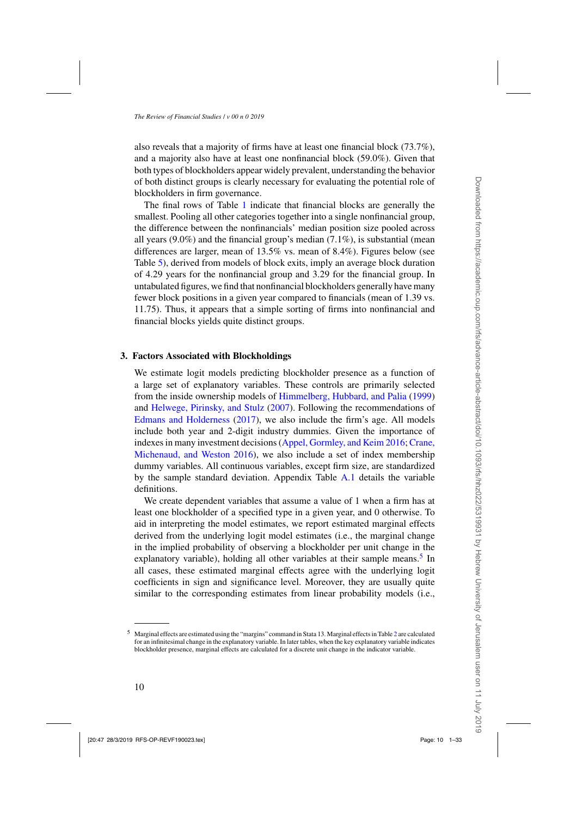also reveals that a majority of firms have at least one financial block (73.7%), and a majority also have at least one nonfinancial block (59.0%). Given that both types of blockholders appear widely prevalent, understanding the behavior of both distinct groups is clearly necessary for evaluating the potential role of blockholders in firm governance.

The final rows of Table [1](#page-7-0) indicate that financial blocks are generally the smallest. Pooling all other categories together into a single nonfinancial group, the difference between the nonfinancials' median position size pooled across all years (9.0%) and the financial group's median (7.1%), is substantial (mean differences are larger, mean of 13.5% vs. mean of 8.4%). Figures below (see Table [5\)](#page-19-0), derived from models of block exits, imply an average block duration of 4.29 years for the nonfinancial group and 3.29 for the financial group. In untabulated figures, we find that nonfinancial blockholders generally have many fewer block positions in a given year compared to financials (mean of 1.39 vs. 11.75). Thus, it appears that a simple sorting of firms into nonfinancial and financial blocks yields quite distinct groups.

#### **3. Factors Associated with Blockholdings**

We estimate logit models predicting blockholder presence as a function of a large set of explanatory variables. These controls are primarily selected from the inside ownership models of [Himmelberg, Hubbard, and Palia](#page-30-0) [\(1999\)](#page-30-0) and [Helwege, Pirinsky, and Stulz](#page-30-0) [\(2007\)](#page-30-0). Following the recommendations of [Edmans and Holderness](#page-30-0) [\(2017\)](#page-30-0), we also include the firm's age. All models include both year and 2-digit industry dummies. Given the importance of indexes in many investm[ent](#page-29-0) [decisions](#page-29-0) [\(Appel, Gormley, and Keim 2016;](#page-29-0) Crane, Michenaud, and Weston [2016\)](#page-29-0), we also include a set of index membership dummy variables. All continuous variables, except firm size, are standardized by the sample standard deviation. Appendix Table [A.1](#page-25-0) details the variable definitions.

We create dependent variables that assume a value of 1 when a firm has at least one blockholder of a specified type in a given year, and 0 otherwise. To aid in interpreting the model estimates, we report estimated marginal effects derived from the underlying logit model estimates (i.e., the marginal change in the implied probability of observing a blockholder per unit change in the explanatory variable), holding all other variables at their sample means.<sup>5</sup> In all cases, these estimated marginal effects agree with the underlying logit coefficients in sign and significance level. Moreover, they are usually quite similar to the corresponding estimates from linear probability models (i.e.,

<sup>5</sup> Marginal effects are estimated using the "margins" command in Stata 13. Marginal effects in Table [2](#page-10-0) are calculated for an infinitesimal change in the explanatory variable. In later tables, when the key explanatory variable indicates blockholder presence, marginal effects are calculated for a discrete unit change in the indicator variable.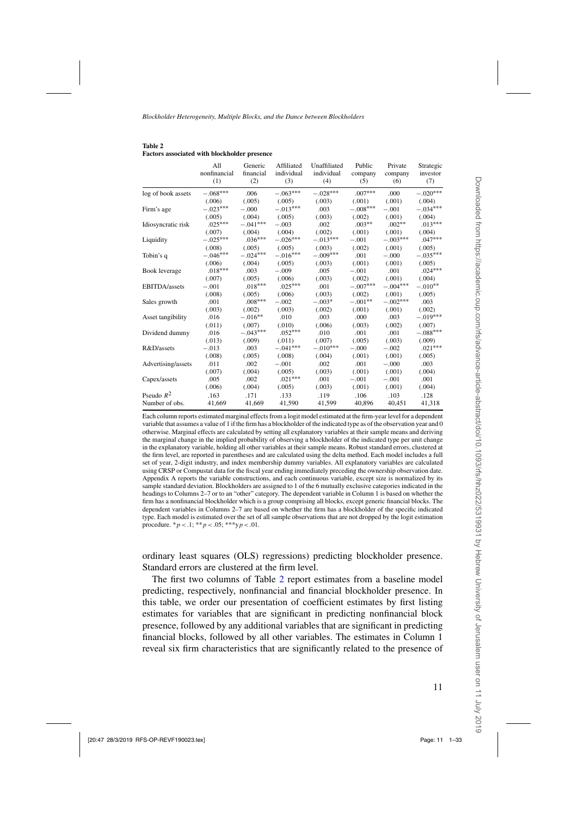|                    | A11<br>nonfinancial<br>(1) | Generic<br>financial<br>(2) | Affiliated<br>individual<br>(3) | Unaffiliated<br>individual<br>(4) | Public<br>company<br>(5) | Private<br>company<br>(6) | Strategic<br>investor<br>(7) |
|--------------------|----------------------------|-----------------------------|---------------------------------|-----------------------------------|--------------------------|---------------------------|------------------------------|
| log of book assets | $-.068***$                 | .006                        | $-.063***$                      | $-.028***$                        | $.007***$                | .000                      | $-.020***$                   |
|                    | (.006)                     | (.005)                      | (.005)                          | (.003)                            | (.001)                   | (.001)                    | (.004)                       |
| Firm's age         | $-.023***$                 | $-.000$                     | $-.013***$                      | .003                              | $-.008***$               | $-.001$                   | $-.034***$                   |
|                    | (.005)                     | (.004)                      | (.005)                          | (.003)                            | (.002)                   | (.001)                    | (.004)                       |
| Idiosyncratic risk | $.025***$                  | $-.041***$                  | $-.003$                         | .002                              | $.003**$                 | $.002**$                  | $.013***$                    |
|                    | (.007)                     | (.004)                      | (.004)                          | (.002)                            | (.001)                   | (.001)                    | (.004)                       |
| Liquidity          | $-.025***$                 | $.036***$                   | $-.026***$                      | $-.013***$                        | $-.001$                  | $-.003***$                | $.047***$                    |
|                    | (.008)                     | (.005)                      | (.005)                          | (.003)                            | (.002)                   | (.001)                    | (.005)                       |
| Tobin's q          | $-.046***$                 | $-.024***$                  | $-.016***$                      | $-.009***$                        | .001                     | $-.000$                   | $-.035***$                   |
|                    | (.006)                     | (.004)                      | (.005)                          | (.003)                            | (.001)                   | (.001)                    | (.005)                       |
| Book leverage      | $.018***$                  | .003                        | $-.009$                         | .005                              | $-.001$                  | .001                      | $.024***$                    |
|                    | (.007)                     | (.005)                      | (.006)                          | (.003)                            | (.002)                   | (.001)                    | (.004)                       |
| EBITDA/assets      | $-.001$                    | $.018***$                   | $.025***$                       | .001                              | $-.007***$               | $-.004***$                | $-.010**$                    |
|                    | (.008)                     | (.005)                      | (.006)                          | (.003)                            | (.002)                   | (.001)                    | (.005)                       |
| Sales growth       | .001                       | $.008***$                   | $-.002$                         | $-.003*$                          | $-.001**$                | $-.002***$                | .003                         |
|                    | (.003)                     | (.002)                      | (.003)                          | (.002)                            | (.001)                   | (.001)                    | (.002)                       |
| Asset tangibility  | .016                       | $-.016**$                   | .010                            | .003                              | .000                     | .003                      | $-.019***$                   |
|                    | (.011)                     | (.007)                      | (.010)                          | (.006)                            | (.003)                   | (.002)                    | (.007)                       |
| Dividend dummy     | .016                       | $-.043***$                  | $.052***$                       | .010                              | .001                     | .001                      | $-.088***$                   |
|                    | (.013)                     | (.009)                      | (.011)                          | (.007)                            | (.005)                   | (.003)                    | (.009)                       |
| R&D/assets         | $-.013$                    | .003                        | $-.041***$                      | $-.010***$                        | $-.000$                  | $-.002$                   | $.021***$                    |
|                    | (.008)                     | (.005)                      | (.008)                          | (.004)                            | (.001)                   | (.001)                    | (.005)                       |
| Advertising/assets | .011                       | .002                        | $-.001$                         | .002                              | .001                     | $-.000$                   | .003                         |
|                    | (.007)                     | (.004)                      | (.005)                          | (.003)                            | (.001)                   | (.001)                    | (.004)                       |
| Capex/assets       | .005                       | .002                        | $.021***$                       | .001                              | $-.001$                  | $-.001$                   | .001                         |
|                    | (.006)                     | (.004)                      | (.005)                          | (.003)                            | (.001)                   | (.001)                    | (.004)                       |
| Pseudo $R^2$       | .163                       | .171                        | .133                            | .119                              | .106                     | .103                      | .128                         |
| Number of obs.     | 41,669                     | 41,669                      | 41,590                          | 41,599                            | 40,896                   | 40,451                    | 41,318                       |

<span id="page-10-0"></span>**Table 2 Factors associated with blockholder presence**

Each column reports estimated marginal effects from a logit model estimated at the firm-year level for a dependent variable that assumes a value of 1 if the firm has a blockholder of the indicated type as of the observation year and 0 otherwise. Marginal effects are calculated by setting all explanatory variables at their sample means and deriving the marginal change in the implied probability of observing a blockholder of the indicated type per unit change in the explanatory variable, holding all other variables at their sample means. Robust standard errors, clustered at the firm level, are reported in parentheses and are calculated using the delta method. Each model includes a full set of year, 2-digit industry, and index membership dummy variables. All explanatory variables are calculated using CRSP or Compustat data for the fiscal year ending immediately preceding the ownership observation date. Appendix A reports the variable constructions, and each continuous variable, except size is normalized by its sample standard deviation. Blockholders are assigned to 1 of the 6 mutually exclusive categories indicated in the headings to Columns 2–7 or to an "other" category. The dependent variable in Column 1 is based on whether the firm has a nonfinancial blockholder which is a group comprising all blocks, except generic financial blocks. The dependent variables in Columns 2–7 are based on whether the firm has a blockholder of the specific indicated type. Each model is estimated over the set of all sample observations that are not dropped by the logit estimation procedure.  $* p < .1; ** p < .05; **yp < .01$ .

ordinary least squares (OLS) regressions) predicting blockholder presence. Standard errors are clustered at the firm level.

The first two columns of Table 2 report estimates from a baseline model predicting, respectively, nonfinancial and financial blockholder presence. In this table, we order our presentation of coefficient estimates by first listing estimates for variables that are significant in predicting nonfinancial block presence, followed by any additional variables that are significant in predicting financial blocks, followed by all other variables. The estimates in Column 1 reveal six firm characteristics that are significantly related to the presence of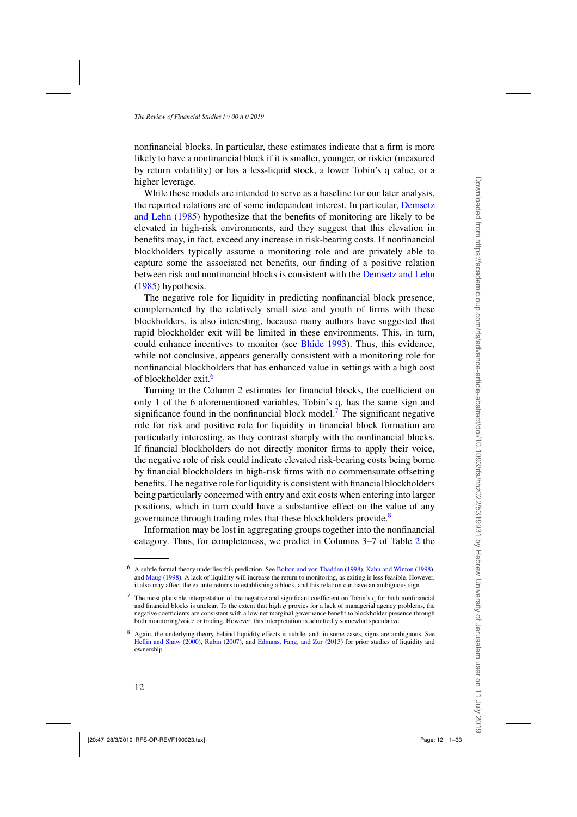nonfinancial blocks. In particular, these estimates indicate that a firm is more likely to have a nonfinancial block if it is smaller, younger, or riskier (measured by return volatility) or has a less-liquid stock, a lower Tobin's q value, or a higher leverage.

While these models are intended to serve as a baseline for our later analysis, the repor[ted relations are of some independent interest. In particular,](#page-29-0) Demsetz and Lehn [\(1985\)](#page-29-0) hypothesize that the benefits of monitoring are likely to be elevated in high-risk environments, and they suggest that this elevation in benefits may, in fact, exceed any increase in risk-bearing costs. If nonfinancial blockholders typically assume a monitoring role and are privately able to capture some the associated net benefits, our finding of a positive relation between risk and nonfinancial blocks is consistent with the [Demsetz and Lehn](#page-29-0) [\(1985\)](#page-29-0) hypothesis.

The negative role for liquidity in predicting nonfinancial block presence, complemented by the relatively small size and youth of firms with these blockholders, is also interesting, because many authors have suggested that rapid blockholder exit will be limited in these environments. This, in turn, could enhance incentives to monitor (see [Bhide 1993](#page-29-0)). Thus, this evidence, while not conclusive, appears generally consistent with a monitoring role for nonfinancial blockholders that has enhanced value in settings with a high cost of blockholder exit <sup>6</sup>

Turning to the Column 2 estimates for financial blocks, the coefficient on only 1 of the 6 aforementioned variables, Tobin's q, has the same sign and significance found in the nonfinancial block model.<sup>7</sup> The significant negative role for risk and positive role for liquidity in financial block formation are particularly interesting, as they contrast sharply with the nonfinancial blocks. If financial blockholders do not directly monitor firms to apply their voice, the negative role of risk could indicate elevated risk-bearing costs being borne by financial blockholders in high-risk firms with no commensurate offsetting benefits. The negative role for liquidity is consistent with financial blockholders being particularly concerned with entry and exit costs when entering into larger positions, which in turn could have a substantive effect on the value of any governance through trading roles that these blockholders provide.<sup>8</sup>

Information may be lost in aggregating groups together into the nonfinancial category. Thus, for completeness, we predict in Columns 3–7 of Table [2](#page-10-0) the

<sup>6</sup> A subtle formal theory underlies this prediction. See [Bolton and von Thadden](#page-29-0) [\(1998\)](#page-29-0), [Kahn and Winton](#page-30-0) [\(1998](#page-30-0)), and [Maug](#page-31-0) [\(1998](#page-31-0)). A lack of liquidity will increase the return to monitoring, as exiting is less feasible. However, it also may affect the ex ante returns to establishing a block, and this relation can have an ambiguous sign.

 $<sup>7</sup>$  The most plausible interpretation of the negative and significant coefficient on Tobin's q for both nonfinancial</sup> and financial blocks is unclear. To the extent that high  $q$  proxies for a lack of managerial agency problems, the negative coefficients are consistent with a low net marginal governance benefit to blockholder presence through both monitoring/voice or trading. However, this interpretation is admittedly somewhat speculative.

<sup>8</sup> Again, the underlying theory behind liquidity effects is subtle, and, in some cases, signs are ambiguous. See [Heflin and Shaw](#page-30-0) [\(2000\)](#page-30-0), [Rubin](#page-31-0) [\(2007\)](#page-31-0), and [Edmans, Fang, and Zur](#page-30-0) [\(2013](#page-30-0)) for prior studies of liquidity and ownership.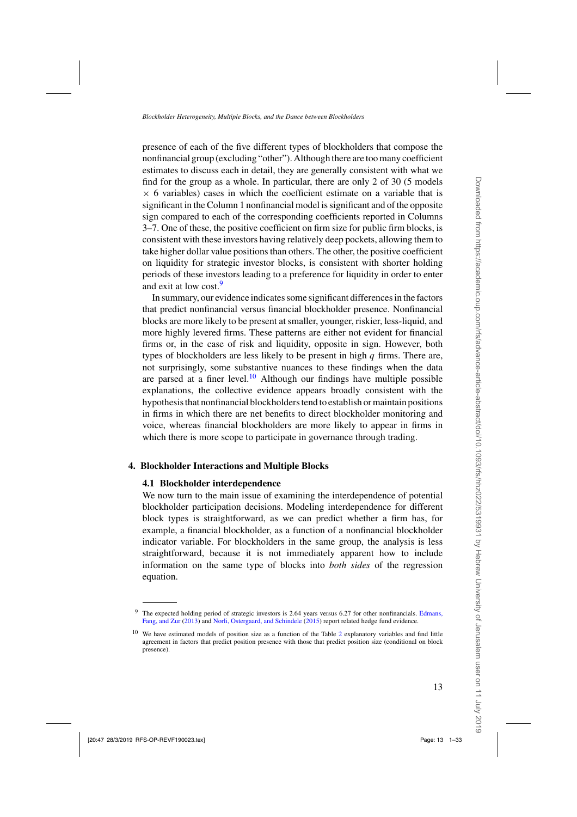presence of each of the five different types of blockholders that compose the nonfinancial group (excluding "other"). Although there are too many coefficient estimates to discuss each in detail, they are generally consistent with what we find for the group as a whole. In particular, there are only 2 of 30 (5 models  $\times$  6 variables) cases in which the coefficient estimate on a variable that is significant in the Column 1 nonfinancial model is significant and of the opposite sign compared to each of the corresponding coefficients reported in Columns 3–7. One of these, the positive coefficient on firm size for public firm blocks, is consistent with these investors having relatively deep pockets, allowing them to take higher dollar value positions than others. The other, the positive coefficient on liquidity for strategic investor blocks, is consistent with shorter holding periods of these investors leading to a preference for liquidity in order to enter and exit at low cost.<sup>9</sup>

In summary, our evidence indicates some significant differences in the factors that predict nonfinancial versus financial blockholder presence. Nonfinancial blocks are more likely to be present at smaller, younger, riskier, less-liquid, and more highly levered firms. These patterns are either not evident for financial firms or, in the case of risk and liquidity, opposite in sign. However, both types of blockholders are less likely to be present in high  $q$  firms. There are, not surprisingly, some substantive nuances to these findings when the data are parsed at a finer level.<sup>10</sup> Although our findings have multiple possible explanations, the collective evidence appears broadly consistent with the hypothesis that nonfinancial blockholders tend to establish or maintain positions in firms in which there are net benefits to direct blockholder monitoring and voice, whereas financial blockholders are more likely to appear in firms in which there is more scope to participate in governance through trading.

# **4. Blockholder Interactions and Multiple Blocks**

## **4.1 Blockholder interdependence**

We now turn to the main issue of examining the interdependence of potential blockholder participation decisions. Modeling interdependence for different block types is straightforward, as we can predict whether a firm has, for example, a financial blockholder, as a function of a nonfinancial blockholder indicator variable. For blockholders in the same group, the analysis is less straightforward, because it is not immediately apparent how to include information on the same type of blocks into *both sides* of the regression equation.

The expected [holding](#page-30-0) [period](#page-30-0) [of](#page-30-0) [strategic](#page-30-0) [investors](#page-30-0) [is](#page-30-0) [2.64](#page-30-0) [years](#page-30-0) [versus](#page-30-0) [6.27](#page-30-0) [for](#page-30-0) [other](#page-30-0) [nonfinancials.](#page-30-0) Edmans, Fang, and Zur [\(2013\)](#page-30-0) and [Norli, Ostergaard, and Schindele](#page-31-0) [\(2015](#page-31-0)) report related hedge fund evidence.

<sup>&</sup>lt;sup>10</sup> We have estimated models of position size as a function of the Table [2](#page-10-0) explanatory variables and find little agreement in factors that predict position presence with those that predict position size (conditional on block presence).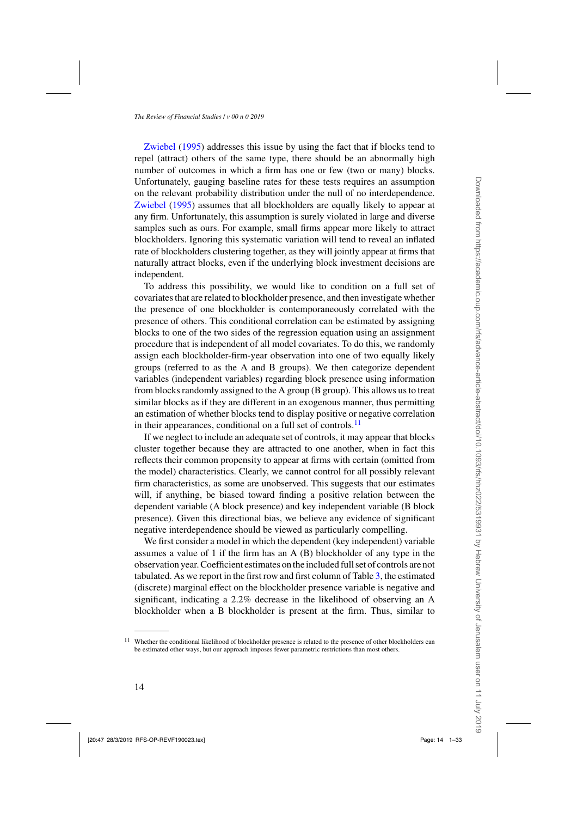Zwiebel [\(1995](#page-31-0)) addresses this issue by using the fact that if blocks tend to repel (attract) others of the same type, there should be an abnormally high number of outcomes in which a firm has one or few (two or many) blocks. Unfortunately, gauging baseline rates for these tests requires an assumption on the relevant probability distribution under the null of no interdependence. [Zwiebel](#page-31-0) [\(1995\)](#page-31-0) assumes that all blockholders are equally likely to appear at any firm. Unfortunately, this assumption is surely violated in large and diverse samples such as ours. For example, small firms appear more likely to attract blockholders. Ignoring this systematic variation will tend to reveal an inflated rate of blockholders clustering together, as they will jointly appear at firms that naturally attract blocks, even if the underlying block investment decisions are independent.

To address this possibility, we would like to condition on a full set of covariates that are related to blockholder presence, and then investigate whether the presence of one blockholder is contemporaneously correlated with the presence of others. This conditional correlation can be estimated by assigning blocks to one of the two sides of the regression equation using an assignment procedure that is independent of all model covariates. To do this, we randomly assign each blockholder-firm-year observation into one of two equally likely groups (referred to as the A and B groups). We then categorize dependent variables (independent variables) regarding block presence using information from blocks randomly assigned to the A group (B group). This allows us to treat similar blocks as if they are different in an exogenous manner, thus permitting an estimation of whether blocks tend to display positive or negative correlation in their appearances, conditional on a full set of controls.<sup>11</sup>

If we neglect to include an adequate set of controls, it may appear that blocks cluster together because they are attracted to one another, when in fact this reflects their common propensity to appear at firms with certain (omitted from the model) characteristics. Clearly, we cannot control for all possibly relevant firm characteristics, as some are unobserved. This suggests that our estimates will, if anything, be biased toward finding a positive relation between the dependent variable (A block presence) and key independent variable (B block presence). Given this directional bias, we believe any evidence of significant negative interdependence should be viewed as particularly compelling.

We first consider a model in which the dependent (key independent) variable assumes a value of 1 if the firm has an A (B) blockholder of any type in the observation year. Coefficient estimates on the included full set of controls are not tabulated. As we report in the first row and first column of Table [3,](#page-14-0) the estimated (discrete) marginal effect on the blockholder presence variable is negative and significant, indicating a 2.2% decrease in the likelihood of observing an A blockholder when a B blockholder is present at the firm. Thus, similar to

<sup>11</sup> Whether the conditional likelihood of blockholder presence is related to the presence of other blockholders can be estimated other ways, but our approach imposes fewer parametric restrictions than most others.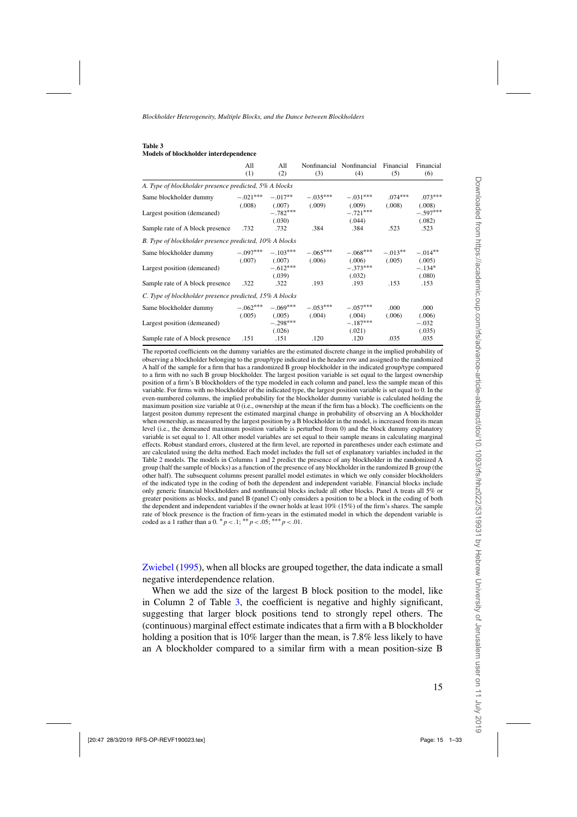#### <span id="page-14-0"></span>**Table 3 Models of blockholder interdependence**

|                                                         | All<br>(1) | All<br>(2)                                | (3)                                      | Nonfinancial Nonfinancial<br>(4) | Financial<br>(5)    | Financial<br>(6)             |
|---------------------------------------------------------|------------|-------------------------------------------|------------------------------------------|----------------------------------|---------------------|------------------------------|
| A. Type of blockholder presence predicted, 5% A blocks  |            |                                           |                                          |                                  |                     |                              |
| Same blockholder dummy                                  |            | $-.021***$ $-.017**$                      | $-.035***$<br>$(.008)$ $(.007)$ $(.009)$ | $-.031***$<br>(.009)             | $.074***$<br>(.008) | $.073***$<br>(.008)          |
| Largest position (demeaned)                             |            | $-.782***$<br>(.030)                      |                                          | $-.721***$<br>(.044)             |                     | $-.597***$<br>(.082)         |
| Sample rate of A block presence                         | .732       | .732                                      | .384                                     | .384                             | .523                | .523                         |
| B. Type of blockholder presence predicted, 10% A blocks |            |                                           |                                          |                                  |                     |                              |
| Same blockholder dummy                                  | $-.097***$ | $-.103***$                                | $-.065***$                               | $-.068***$                       | $-.013**$           | $-.014**$                    |
| Largest position (demeaned)                             |            | $(.007)$ $(.007)$<br>$-.612***$<br>(.039) | (.006)                                   | (.006)<br>$-.373***$<br>(.032)   | (.005)              | (.005)<br>$-.134*$<br>(.080) |
| Sample rate of A block presence                         | .322       | .322                                      | .193                                     | .193                             | .153                | .153                         |
| C. Type of blockholder presence predicted, 15% A blocks |            |                                           |                                          |                                  |                     |                              |
| Same blockholder dummy                                  | $-.062***$ | $-.069***$                                | $-.053***$                               | $-.057***$                       | .000                | .000                         |
| Largest position (demeaned)                             | (.005)     | (.005)<br>$-.298***$                      | (.004)                                   | (.004)<br>$-.187***$             | (.006)              | (.006)<br>$-.032$            |
| Sample rate of A block presence                         | .151       | (.026)<br>.151                            | .120                                     | (.021)<br>.120                   | .035                | (.035)<br>.035               |

The reported coefficients on the dummy variables are the estimated discrete change in the implied probability of observing a blockholder belonging to the group/type indicated in the header row and assigned to the randomized A half of the sample for a firm that has a randomized B group blockholder in the indicated group/type compared to a firm with no such B group blockholder. The largest position variable is set equal to the largest ownership position of a firm's B blockholders of the type modeled in each column and panel, less the sample mean of this variable. For firms with no blockholder of the indicated type, the largest position variable is set equal to 0. In the even-numbered columns, the implied probability for the blockholder dummy variable is calculated holding the maximum position size variable at 0 (i.e., ownership at the mean if the firm has a block). The coefficients on the largest positon dummy represent the estimated marginal change in probability of observing an A blockholder when ownership, as measured by the largest position by a B blockholder in the model, is increased from its mean level (i.e., the demeaned maximum position variable is perturbed from 0) and the block dummy explanatory variable is set equal to 1. All other model variables are set equal to their sample means in calculating marginal effects. Robust standard errors, clustered at the firm level, are reported in parentheses under each estimate and are calculated using the delta method. Each model includes the full set of explanatory variables included in the Table [2](#page-10-0) models. The models in Columns 1 and 2 predict the presence of any blockholder in the randomized A group (half the sample of blocks) as a function of the presence of any blockholder in the randomized B group (the other half). The subsequent columns present parallel model estimates in which we only consider blockholders of the indicated type in the coding of both the dependent and independent variable. Financial blocks include only generic financial blockholders and nonfinancial blocks include all other blocks. Panel A treats all 5% or greater positions as blocks, and panel B (panel C) only considers a position to be a block in the coding of both the dependent and independent variables if the owner holds at least 10% (15%) of the firm's shares. The sample rate of block presence is the fraction of firm-years in the estimated model in which the dependent variable is coded as a 1 rather than a  $0.$   $^{*}p < .1$ ;  $^{**}p < .05$ ;  $^{***}p < .01$ .

[Zwiebel](#page-31-0) [\(1995\)](#page-31-0), when all blocks are grouped together, the data indicate a small negative interdependence relation.

When we add the size of the largest B block position to the model, like in Column 2 of Table 3, the coefficient is negative and highly significant, suggesting that larger block positions tend to strongly repel others. The (continuous) marginal effect estimate indicates that a firm with a B blockholder holding a position that is 10% larger than the mean, is 7.8% less likely to have an A blockholder compared to a similar firm with a mean position-size B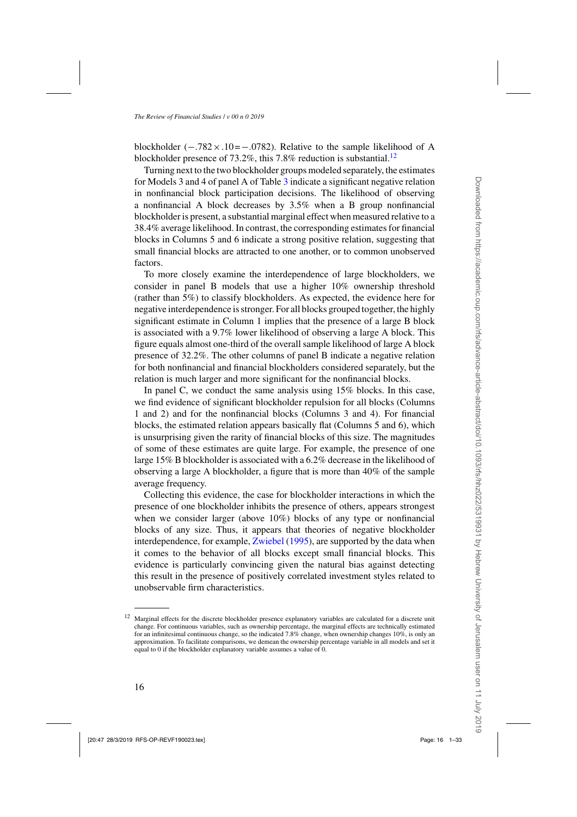blockholder ( $-.782 \times .10 = -.0782$ ). Relative to the sample likelihood of A blockholder presence of 73.2%, this 7.8% reduction is substantial.<sup>12</sup>

Turning next to the two blockholder groups modeled separately, the estimates for Models 3 and 4 of panel A of Table [3](#page-14-0) indicate a significant negative relation in nonfinancial block participation decisions. The likelihood of observing a nonfinancial A block decreases by 3.5% when a B group nonfinancial blockholder is present, a substantial marginal effect when measured relative to a 38.4% average likelihood. In contrast, the corresponding estimates for financial blocks in Columns 5 and 6 indicate a strong positive relation, suggesting that small financial blocks are attracted to one another, or to common unobserved factors.

To more closely examine the interdependence of large blockholders, we consider in panel B models that use a higher 10% ownership threshold (rather than 5%) to classify blockholders. As expected, the evidence here for negative interdependence is stronger. For all blocks grouped together, the highly significant estimate in Column 1 implies that the presence of a large B block is associated with a 9.7% lower likelihood of observing a large A block. This figure equals almost one-third of the overall sample likelihood of large A block presence of 32.2%. The other columns of panel B indicate a negative relation for both nonfinancial and financial blockholders considered separately, but the relation is much larger and more significant for the nonfinancial blocks.

In panel C, we conduct the same analysis using 15% blocks. In this case, we find evidence of significant blockholder repulsion for all blocks (Columns 1 and 2) and for the nonfinancial blocks (Columns 3 and 4). For financial blocks, the estimated relation appears basically flat (Columns 5 and 6), which is unsurprising given the rarity of financial blocks of this size. The magnitudes of some of these estimates are quite large. For example, the presence of one large 15% B blockholder is associated with a 6.2% decrease in the likelihood of observing a large A blockholder, a figure that is more than 40% of the sample average frequency.

Collecting this evidence, the case for blockholder interactions in which the presence of one blockholder inhibits the presence of others, appears strongest when we consider larger (above 10%) blocks of any type or nonfinancial blocks of any size. Thus, it appears that theories of negative blockholder interdependence, for example, [Zwiebel](#page-31-0) [\(1995](#page-31-0)), are supported by the data when it comes to the behavior of all blocks except small financial blocks. This evidence is particularly convincing given the natural bias against detecting this result in the presence of positively correlated investment styles related to unobservable firm characteristics.

<sup>&</sup>lt;sup>12</sup> Marginal effects for the discrete blockholder presence explanatory variables are calculated for a discrete unit change. For continuous variables, such as ownership percentage, the marginal effects are technically estimated for an infinitesimal continuous change, so the indicated 7.8% change, when ownership changes 10%, is only an approximation. To facilitate comparisons, we demean the ownership percentage variable in all models and set it equal to 0 if the blockholder explanatory variable assumes a value of 0.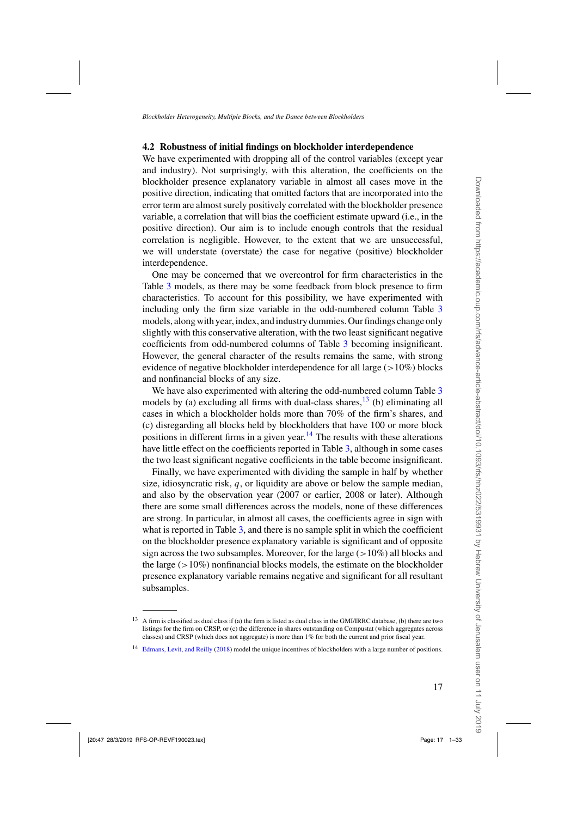## **4.2 Robustness of initial findings on blockholder interdependence**

We have experimented with dropping all of the control variables (except year and industry). Not surprisingly, with this alteration, the coefficients on the blockholder presence explanatory variable in almost all cases move in the positive direction, indicating that omitted factors that are incorporated into the error term are almost surely positively correlated with the blockholder presence variable, a correlation that will bias the coefficient estimate upward (i.e., in the positive direction). Our aim is to include enough controls that the residual correlation is negligible. However, to the extent that we are unsuccessful, we will understate (overstate) the case for negative (positive) blockholder interdependence.

One may be concerned that we overcontrol for firm characteristics in the Table [3](#page-14-0) models, as there may be some feedback from block presence to firm characteristics. To account for this possibility, we have experimented with including only the firm size variable in the odd-numbered column Table [3](#page-14-0) models, along with year, index, and industry dummies. Our findings change only slightly with this conservative alteration, with the two least significant negative coefficients from odd-numbered columns of Table [3](#page-14-0) becoming insignificant. However, the general character of the results remains the same, with strong evidence of negative blockholder interdependence for all large  $(>10\%)$  blocks and nonfinancial blocks of any size.

We have also experimented with altering the odd-numbered column Table [3](#page-14-0) models by (a) excluding all firms with dual-class shares,  $^{13}$  (b) eliminating all cases in which a blockholder holds more than 70% of the firm's shares, and (c) disregarding all blocks held by blockholders that have 100 or more block positions in different firms in a given year.<sup>14</sup> The results with these alterations have little effect on the coefficients reported in Table [3,](#page-14-0) although in some cases the two least significant negative coefficients in the table become insignificant.

Finally, we have experimented with dividing the sample in half by whether size, idiosyncratic risk,  $q$ , or liquidity are above or below the sample median, and also by the observation year (2007 or earlier, 2008 or later). Although there are some small differences across the models, none of these differences are strong. In particular, in almost all cases, the coefficients agree in sign with what is reported in Table [3,](#page-14-0) and there is no sample split in which the coefficient on the blockholder presence explanatory variable is significant and of opposite sign across the two subsamples. Moreover, for the large  $(>10\%)$  all blocks and the large  $(>10\%)$  nonfinancial blocks models, the estimate on the blockholder presence explanatory variable remains negative and significant for all resultant subsamples.

 $13$  A firm is classified as dual class if (a) the firm is listed as dual class in the GMI/IRRC database, (b) there are two listings for the firm on CRSP, or (c) the difference in shares outstanding on Compustat (which aggregates across classes) and CRSP (which does not aggregate) is more than 1% for both the current and prior fiscal year.

<sup>&</sup>lt;sup>14</sup> [Edmans, Levit, and Reilly](#page-30-0) [\(2018\)](#page-30-0) model the unique incentives of blockholders with a large number of positions.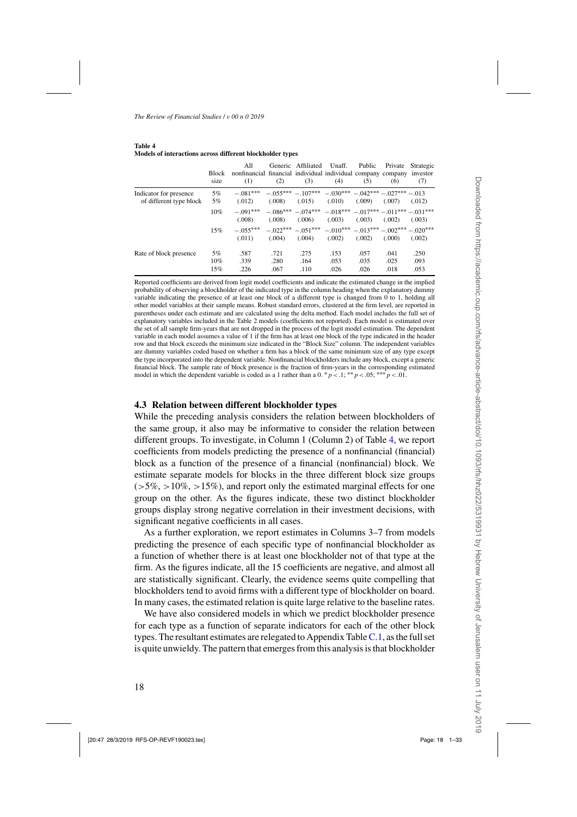|                                                   | Block<br>size    | A11<br>nonfinancial financial individual individual company company investor<br>(1) | (2)                  | Generic Affiliated<br>(3)                                                         | Unaff.<br>(4)                                             | Public<br>(5)        | Private<br>(6)       | Strategic<br>(7)     |
|---------------------------------------------------|------------------|-------------------------------------------------------------------------------------|----------------------|-----------------------------------------------------------------------------------|-----------------------------------------------------------|----------------------|----------------------|----------------------|
| Indicator for presence<br>of different type block | 5%<br>5%         | $-.081***$<br>(.012)                                                                | (.008)               | $-.055***-.107***$<br>(.015)                                                      | $-.030***-.042***-.027***-.013$<br>(.010)                 | (.009)               | (.007)               | (.012)               |
|                                                   | 10%              | $-.091***$<br>(.008)                                                                | (.008)               | $-0.086***$ $-0.074***$ $-0.018***$ $-0.017***$ $-0.011***$ $-0.031***$<br>(.006) | (.003)                                                    | (.003)               | (.002)               | (.003)               |
|                                                   | 15%              | $-.055***$<br>(.011)                                                                | (.004)               | $-.022***-.051***$<br>(.004)                                                      | $-0.010***$ $-0.013***$ $-0.002***$ $-0.020***$<br>(.002) | (.002)               | (.000)               | (.002)               |
| Rate of block presence                            | 5%<br>10%<br>15% | .587<br>.339<br>.226                                                                | .721<br>.280<br>.067 | .275<br>.164<br>.110                                                              | .153<br>.053<br>.026                                      | .057<br>.035<br>.026 | .041<br>.025<br>.018 | .250<br>.093<br>.053 |

**Table 4 Models of interactions across different blockholder types**

Reported coefficients are derived from logit model coefficients and indicate the estimated change in the implied probability of observing a blockholder of the indicated type in the column heading when the explanatory dummy variable indicating the presence of at least one block of a different type is changed from 0 to 1, holding all other model variables at their sample means. Robust standard errors, clustered at the firm level, are reported in parentheses under each estimate and are calculated using the delta method. Each model includes the full set of explanatory variables included in the Table 2 models (coefficients not reported). Each model is estimated over the set of all sample firm-years that are not dropped in the process of the logit model estimation. The dependent variable in each model assumes a value of 1 if the firm has at least one block of the type indicated in the header row and that block exceeds the minimum size indicated in the "Block Size" column. The independent variables are dummy variables coded based on whether a firm has a block of the same minimum size of any type except the type incorporated into the dependent variable. Nonfinancial blockholders include any block, except a generic financial block. The sample rate of block presence is the fraction of firm-years in the corresponding estimated model in which the dependent variable is coded as a 1 rather than a 0.  ${}^{*}p$  <.1;  ${}^{**}p$  <.05; \*\*\* p <.01.

### **4.3 Relation between different blockholder types**

While the preceding analysis considers the relation between blockholders of the same group, it also may be informative to consider the relation between different groups. To investigate, in Column 1 (Column 2) of Table 4, we report coefficients from models predicting the presence of a nonfinancial (financial) block as a function of the presence of a financial (nonfinancial) block. We estimate separate models for blocks in the three different block size groups  $(55\%, 510\%, 515\%)$ , and report only the estimated marginal effects for one group on the other. As the figures indicate, these two distinct blockholder groups display strong negative correlation in their investment decisions, with significant negative coefficients in all cases.

As a further exploration, we report estimates in Columns 3–7 from models predicting the presence of each specific type of nonfinancial blockholder as a function of whether there is at least one blockholder not of that type at the firm. As the figures indicate, all the 15 coefficients are negative, and almost all are statistically significant. Clearly, the evidence seems quite compelling that blockholders tend to avoid firms with a different type of blockholder on board. In many cases, the estimated relation is quite large relative to the baseline rates.

We have also considered models in which we predict blockholder presence for each type as a function of separate indicators for each of the other block types. The resultant estimates are relegated to Appendix Table  $C.1$ , as the full set is quite unwieldy. The pattern that emerges from this analysis is that blockholder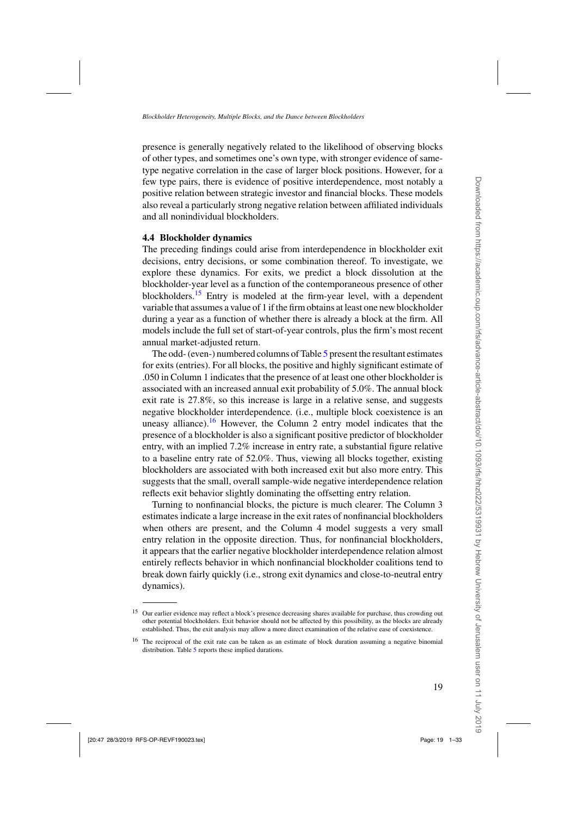presence is generally negatively related to the likelihood of observing blocks of other types, and sometimes one's own type, with stronger evidence of sametype negative correlation in the case of larger block positions. However, for a few type pairs, there is evidence of positive interdependence, most notably a positive relation between strategic investor and financial blocks. These models also reveal a particularly strong negative relation between affiliated individuals and all nonindividual blockholders.

### **4.4 Blockholder dynamics**

The preceding findings could arise from interdependence in blockholder exit decisions, entry decisions, or some combination thereof. To investigate, we explore these dynamics. For exits, we predict a block dissolution at the blockholder-year level as a function of the contemporaneous presence of other blockholders.<sup>15</sup> Entry is modeled at the firm-year level, with a dependent variable that assumes a value of 1 if the firm obtains at least one new blockholder during a year as a function of whether there is already a block at the firm. All models include the full set of start-of-year controls, plus the firm's most recent annual market-adjusted return.

The odd- (even-) numbered columns of Table [5](#page-19-0) present the resultant estimates for exits (entries). For all blocks, the positive and highly significant estimate of .050 in Column 1 indicates that the presence of at least one other blockholder is associated with an increased annual exit probability of 5.0%. The annual block exit rate is 27.8%, so this increase is large in a relative sense, and suggests negative blockholder interdependence. (i.e., multiple block coexistence is an uneasy alliance).<sup>16</sup> However, the Column 2 entry model indicates that the presence of a blockholder is also a significant positive predictor of blockholder entry, with an implied 7.2% increase in entry rate, a substantial figure relative to a baseline entry rate of 52.0%. Thus, viewing all blocks together, existing blockholders are associated with both increased exit but also more entry. This suggests that the small, overall sample-wide negative interdependence relation reflects exit behavior slightly dominating the offsetting entry relation.

Turning to nonfinancial blocks, the picture is much clearer. The Column 3 estimates indicate a large increase in the exit rates of nonfinancial blockholders when others are present, and the Column 4 model suggests a very small entry relation in the opposite direction. Thus, for nonfinancial blockholders, it appears that the earlier negative blockholder interdependence relation almost entirely reflects behavior in which nonfinancial blockholder coalitions tend to break down fairly quickly (i.e., strong exit dynamics and close-to-neutral entry dynamics).

<sup>15</sup> Our earlier evidence may reflect a block's presence decreasing shares available for purchase, thus crowding out other potential blockholders. Exit behavior should not be affected by this possibility, as the blocks are already established. Thus, the exit analysis may allow a more direct examination of the relative ease of coexistence.

<sup>&</sup>lt;sup>16</sup> The reciprocal of the exit rate can be taken as an estimate of block duration assuming a negative binomial distribution. Table [5](#page-19-0) reports these implied durations.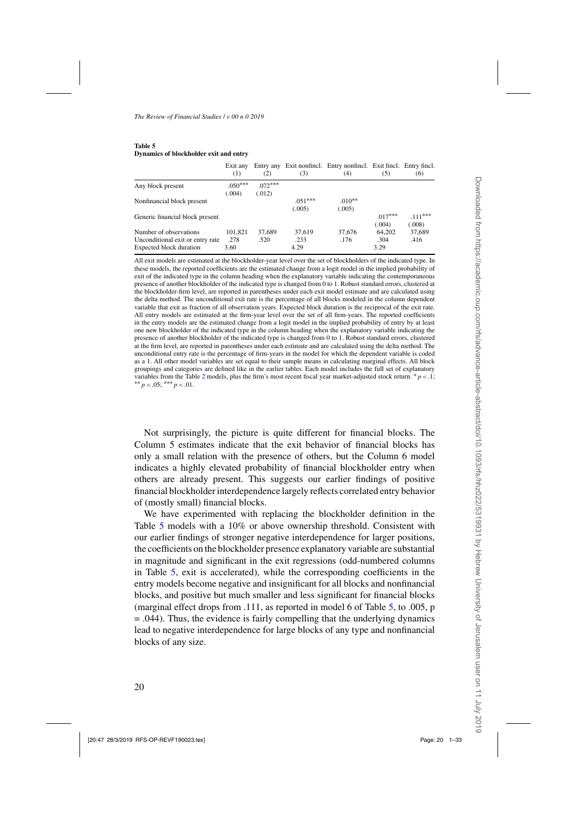#### <span id="page-19-0"></span>**Table 5 Dynamics of blockholder exit and entry**

|                                                                    | Exit any<br>(1)     | Entry any<br>(2)   | (3)                 | Exit nonfinel. Entry nonfinel. Exit finel. Entry finel.<br>(4) | (5)                 | (6)                 |
|--------------------------------------------------------------------|---------------------|--------------------|---------------------|----------------------------------------------------------------|---------------------|---------------------|
| Any block present                                                  | $.050***$<br>(.004) | $072***$<br>(.012) |                     |                                                                |                     |                     |
| Nonfinancial block present                                         |                     |                    | $.051***$<br>(.005) | $.010**$<br>(.005)                                             |                     |                     |
| Generic financial block present                                    |                     |                    |                     |                                                                | $.017***$<br>(.004) | $.111***$<br>(.008) |
| Number of observations                                             | 101.821             | 37,689             | 37,619              | 37,676                                                         | 64,202              | 37,689              |
| Unconditional exit or entry rate<br><b>Expected block duration</b> | .278<br>3.60        | .520               | .233<br>4.29        | .176                                                           | .304<br>3.29        | .416                |

All exit models are estimated at the blockholder-year level over the set of blockholders of the indicated type. In these models, the reported coefficients are the estimated change from a logit model in the implied probability of exit of the indicated type in the column heading when the explanatory variable indicating the contemporaneous presence of another blockholder of the indicated type is changed from 0 to 1. Robust standard errors, clustered at the blockholder-firm level, are reported in parentheses under each exit model estimate and are calculated using the delta method. The unconditional exit rate is the percentage of all blocks modeled in the column dependent variable that exit as fraction of all observation years. Expected block duration is the reciprocal of the exit rate. All entry models are estimated at the firm-year level over the set of all firm-years. The reported coefficients in the entry models are the estimated change from a logit model in the implied probability of entry by at least one new blockholder of the indicated type in the column heading when the explanatory variable indicating the presence of another blockholder of the indicated type is changed from 0 to 1. Robust standard errors, clustered at the firm level, are reported in parentheses under each estimate and are calculated using the delta method. The unconditional entry rate is the percentage of firm-years in the model for which the dependent variable is coded as a 1. All other model variables are set equal to their sample means in calculating marginal effects. All block groupings and categories are defined like in the earlier tables. Each model includes the full set of explanatory variables from the Table [2](#page-10-0) models, plus the firm's most recent fiscal year market-adjusted stock return.  $*p < 1$ ; \*\*  $p < .05$ ; \*\*\*  $p < .01$ .

Not surprisingly, the picture is quite different for financial blocks. The Column 5 estimates indicate that the exit behavior of financial blocks has only a small relation with the presence of others, but the Column 6 model indicates a highly elevated probability of financial blockholder entry when others are already present. This suggests our earlier findings of positive financial blockholder interdependence largely reflects correlated entry behavior of (mostly small) financial blocks.

We have experimented with replacing the blockholder definition in the Table 5 models with a 10% or above ownership threshold. Consistent with our earlier findings of stronger negative interdependence for larger positions, the coefficients on the blockholder presence explanatory variable are substantial in magnitude and significant in the exit regressions (odd-numbered columns in Table 5, exit is accelerated), while the corresponding coefficients in the entry models become negative and insignificant for all blocks and nonfinancial blocks, and positive but much smaller and less significant for financial blocks (marginal effect drops from .111, as reported in model 6 of Table 5, to .005, p  $= .044$ ). Thus, the evidence is fairly compelling that the underlying dynamics lead to negative interdependence for large blocks of any type and nonfinancial blocks of any size.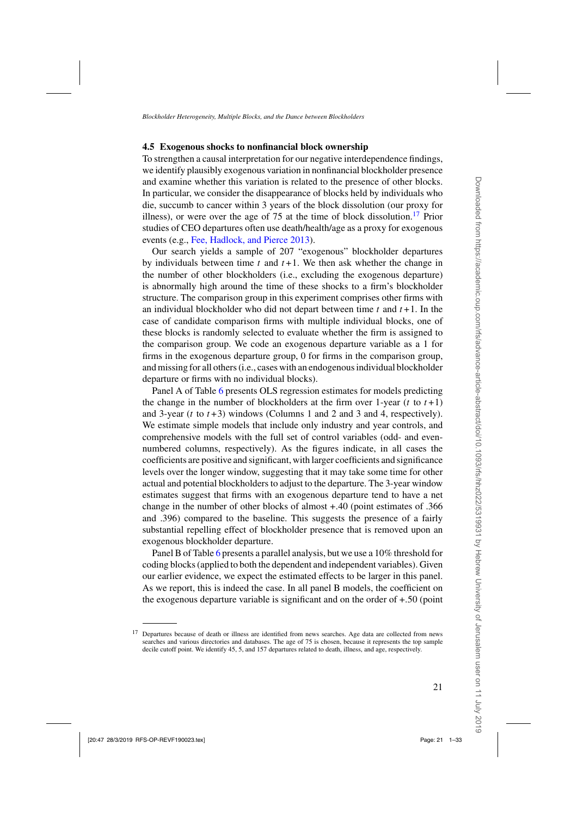### **4.5 Exogenous shocks to nonfinancial block ownership**

To strengthen a causal interpretation for our negative interdependence findings, we identify plausibly exogenous variation in nonfinancial blockholder presence and examine whether this variation is related to the presence of other blocks. In particular, we consider the disappearance of blocks held by individuals who die, succumb to cancer within 3 years of the block dissolution (our proxy for illness), or were over the age of 75 at the time of block dissolution.<sup>17</sup> Prior studies of CEO departures often use death/health/age as a proxy for exogenous events (e.g., [Fee, Hadlock, and Pierce 2013](#page-30-0)).

Our search yields a sample of 207 "exogenous" blockholder departures by individuals between time t and  $t + 1$ . We then ask whether the change in the number of other blockholders (i.e., excluding the exogenous departure) is abnormally high around the time of these shocks to a firm's blockholder structure. The comparison group in this experiment comprises other firms with an individual blockholder who did not depart between time  $t$  and  $t + 1$ . In the case of candidate comparison firms with multiple individual blocks, one of these blocks is randomly selected to evaluate whether the firm is assigned to the comparison group. We code an exogenous departure variable as a 1 for firms in the exogenous departure group, 0 for firms in the comparison group, and missing for all others (i.e., cases with an endogenous individual blockholder departure or firms with no individual blocks).

Panel A of Table [6](#page-21-0) presents OLS regression estimates for models predicting the change in the number of blockholders at the firm over 1-year (t to  $t+1$ ) and 3-year (t to  $t + 3$ ) windows (Columns 1 and 2 and 3 and 4, respectively). We estimate simple models that include only industry and year controls, and comprehensive models with the full set of control variables (odd- and evennumbered columns, respectively). As the figures indicate, in all cases the coefficients are positive and significant, with larger coefficients and significance levels over the longer window, suggesting that it may take some time for other actual and potential blockholders to adjust to the departure. The 3-year window estimates suggest that firms with an exogenous departure tend to have a net change in the number of other blocks of almost +.40 (point estimates of .366 and .396) compared to the baseline. This suggests the presence of a fairly substantial repelling effect of blockholder presence that is removed upon an exogenous blockholder departure.

Panel B of Table [6](#page-21-0) presents a parallel analysis, but we use a 10% threshold for coding blocks (applied to both the dependent and independent variables). Given our earlier evidence, we expect the estimated effects to be larger in this panel. As we report, this is indeed the case. In all panel B models, the coefficient on the exogenous departure variable is significant and on the order of +.50 (point

<sup>&</sup>lt;sup>17</sup> Departures because of death or illness are identified from news searches. Age data are collected from news searches and various directories and databases. The age of 75 is chosen, because it represents the top sample decile cutoff point. We identify 45, 5, and 157 departures related to death, illness, and age, respectively.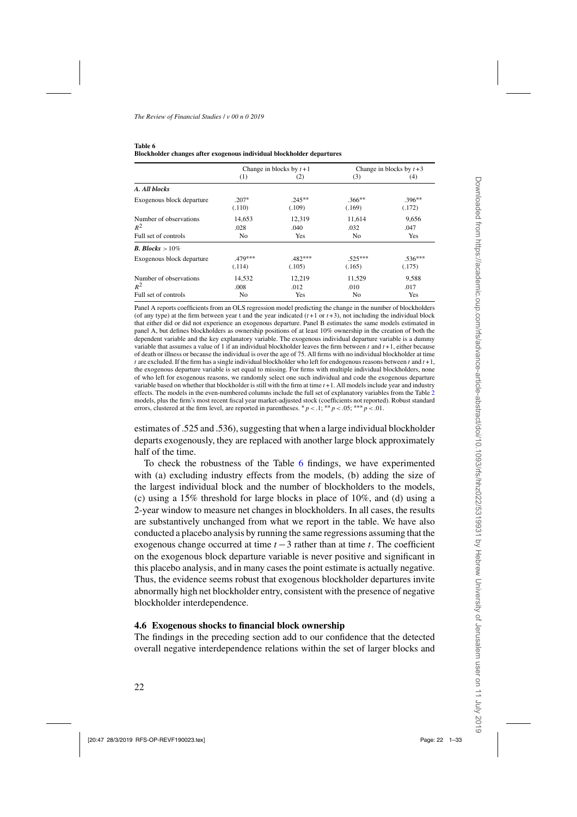|                           | Change in blocks by $t+1$ |           |                | Change in blocks by $t+3$ |
|---------------------------|---------------------------|-----------|----------------|---------------------------|
|                           | (1)                       | (2)       | (3)            | (4)                       |
| A. All blocks             |                           |           |                |                           |
| Exogenous block departure | $.207*$                   | $.245**$  | $.366**$       | $.396**$                  |
|                           | (.110)                    | (.109)    | (.169)         | (.172)                    |
| Number of observations    | 14,653                    | 12,319    | 11,614         | 9,656                     |
| $R^2$                     | .028                      | .040      | .032           | .047                      |
| Full set of controls      | N <sub>0</sub>            | Yes       | N <sub>0</sub> | Yes                       |
| <b>B.</b> Blocks $>10\%$  |                           |           |                |                           |
| Exogenous block departure | .479***                   | $.482***$ | $.525***$      | $.536***$                 |
|                           | (.114)                    | (.105)    | (.165)         | (.175)                    |
| Number of observations    | 14,532                    | 12,219    | 11,529         | 9,588                     |
| $R^2$                     | .008                      | .012      | .010           | .017                      |
| Full set of controls      | No                        | Yes       | No             | Yes                       |

<span id="page-21-0"></span>

| Table 6                                                               |  |  |
|-----------------------------------------------------------------------|--|--|
| Blockholder changes after exogenous individual blockholder departures |  |  |

Panel A reports coefficients from an OLS regression model predicting the change in the number of blockholders (of any type) at the firm between year t and the year indicated  $(t+1 \text{ or } t+3)$ , not including the individual block that either did or did not experience an exogenous departure. Panel B estimates the same models estimated in panel A, but defines blockholders as ownership positions of at least 10% ownership in the creation of both the dependent variable and the key explanatory variable. The exogenous individual departure variable is a dummy variable that assumes a value of 1 if an individual blockholder leaves the firm between  $t$  and  $t + 1$ , either because of death or illness or because the individual is over the age of 75. All firms with no individual blockholder at time t are excluded. If the firm has a single individual blockholder who left for endogenous reasons between t and  $t + 1$ . the exogenous departure variable is set equal to missing. For firms with multiple individual blockholders, none of who left for exogenous reasons, we randomly select one such individual and code the exogenous departure variable based on whether that blockholder is still with the firm at time  $t + 1$ . All models include year and industry effects. The models in the even-numbered columns include the full set of explanatory variables from the Table [2](#page-10-0) models, plus the firm's most recent fiscal year market-adjusted stock (coefficients not reported). Robust standard errors, clustered at the firm level, are reported in parentheses.  $p < 0.1$ ; \*\*p < .05; \*\*\*p < .01.

estimates of .525 and .536), suggesting that when a large individual blockholder departs exogenously, they are replaced with another large block approximately half of the time.

To check the robustness of the Table 6 findings, we have experimented with (a) excluding industry effects from the models, (b) adding the size of the largest individual block and the number of blockholders to the models, (c) using a 15% threshold for large blocks in place of 10%, and (d) using a 2-year window to measure net changes in blockholders. In all cases, the results are substantively unchanged from what we report in the table. We have also conducted a placebo analysis by running the same regressions assuming that the exogenous change occurred at time  $t - 3$  rather than at time t. The coefficient on the exogenous block departure variable is never positive and significant in this placebo analysis, and in many cases the point estimate is actually negative. Thus, the evidence seems robust that exogenous blockholder departures invite abnormally high net blockholder entry, consistent with the presence of negative blockholder interdependence.

# **4.6 Exogenous shocks to financial block ownership**

The findings in the preceding section add to our confidence that the detected overall negative interdependence relations within the set of larger blocks and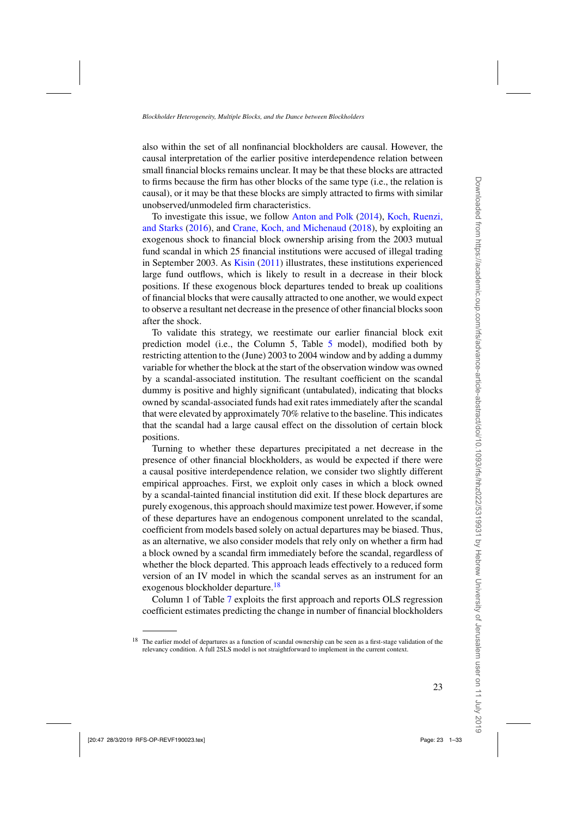also within the set of all nonfinancial blockholders are causal. However, the causal interpretation of the earlier positive interdependence relation between small financial blocks remains unclear. It may be that these blocks are attracted to firms because the firm has other blocks of the same type (i.e., the relation is causal), or it may be that these blocks are simply attracted to firms with similar unobserved/unmodeled firm characteristics.

To inve[stigate this issue, we follow](#page-30-0) [Anton and Polk](#page-29-0) [\(2014](#page-29-0)), Koch, Ruenzi, and Starks [\(2016](#page-30-0)), and [Crane, Koch, and Michenaud](#page-29-0) [\(2018](#page-29-0)), by exploiting an exogenous shock to financial block ownership arising from the 2003 mutual fund scandal in which 25 financial institutions were accused of illegal trading in September 2003. As [Kisin](#page-30-0) [\(2011\)](#page-30-0) illustrates, these institutions experienced large fund outflows, which is likely to result in a decrease in their block positions. If these exogenous block departures tended to break up coalitions of financial blocks that were causally attracted to one another, we would expect to observe a resultant net decrease in the presence of other financial blocks soon after the shock.

To validate this strategy, we reestimate our earlier financial block exit prediction model (i.e., the Column [5](#page-19-0), Table 5 model), modified both by restricting attention to the (June) 2003 to 2004 window and by adding a dummy variable for whether the block at the start of the observation window was owned by a scandal-associated institution. The resultant coefficient on the scandal dummy is positive and highly significant (untabulated), indicating that blocks owned by scandal-associated funds had exit rates immediately after the scandal that were elevated by approximately 70% relative to the baseline. This indicates that the scandal had a large causal effect on the dissolution of certain block positions.

Turning to whether these departures precipitated a net decrease in the presence of other financial blockholders, as would be expected if there were a causal positive interdependence relation, we consider two slightly different empirical approaches. First, we exploit only cases in which a block owned by a scandal-tainted financial institution did exit. If these block departures are purely exogenous, this approach should maximize test power. However, if some of these departures have an endogenous component unrelated to the scandal, coefficient from models based solely on actual departures may be biased. Thus, as an alternative, we also consider models that rely only on whether a firm had a block owned by a scandal firm immediately before the scandal, regardless of whether the block departed. This approach leads effectively to a reduced form version of an IV model in which the scandal serves as an instrument for an exogenous blockholder departure.<sup>18</sup>

Column 1 of Table [7](#page-23-0) exploits the first approach and reports OLS regression coefficient estimates predicting the change in number of financial blockholders

<sup>&</sup>lt;sup>18</sup> The earlier model of departures as a function of scandal ownership can be seen as a first-stage validation of the relevancy condition. A full 2SLS model is not straightforward to implement in the current context.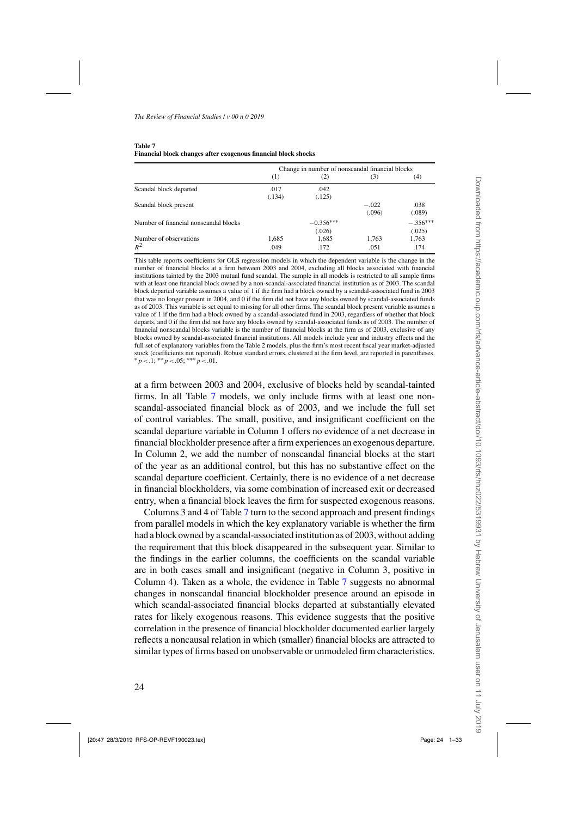<span id="page-23-0"></span>

| Table 7                                                        |
|----------------------------------------------------------------|
| Financial block changes after exogenous financial block shocks |

|                                       | Change in number of nonscandal financial blocks |             |         |            |  |  |
|---------------------------------------|-------------------------------------------------|-------------|---------|------------|--|--|
|                                       | (1)                                             | (2)         | (3)     | (4)        |  |  |
| Scandal block departed                | .017                                            | .042        |         |            |  |  |
|                                       | (.134)                                          | (.125)      |         |            |  |  |
| Scandal block present                 |                                                 |             | $-.022$ | .038       |  |  |
|                                       |                                                 |             | (.096)  | (.089)     |  |  |
| Number of financial nonscandal blocks |                                                 | $-0.356***$ |         | $-.356***$ |  |  |
|                                       |                                                 | (.026)      |         | (.025)     |  |  |
| Number of observations                | 1.685                                           | 1,685       | 1,763   | 1,763      |  |  |
| $R^2$                                 | .049                                            | .172        | .051    | .174       |  |  |

This table reports coefficients for OLS regression models in which the dependent variable is the change in the number of financial blocks at a firm between 2003 and 2004, excluding all blocks associated with financial institutions tainted by the 2003 mutual fund scandal. The sample in all models is restricted to all sample firms with at least one financial block owned by a non-scandal-associated financial institution as of 2003. The scandal block departed variable assumes a value of 1 if the firm had a block owned by a scandal-associated fund in 2003 that was no longer present in 2004, and 0 if the firm did not have any blocks owned by scandal-associated funds as of 2003. This variable is set equal to missing for all other firms. The scandal block present variable assumes a value of 1 if the firm had a block owned by a scandal-associated fund in 2003, regardless of whether that block departs, and 0 if the firm did not have any blocks owned by scandal-associated funds as of 2003. The number of financial nonscandal blocks variable is the number of financial blocks at the firm as of 2003, exclusive of any blocks owned by scandal-associated financial institutions. All models include year and industry effects and the full set of explanatory variables from the Table 2 models, plus the firm's most recent fiscal year market-adjusted stock (coefficients not reported). Robust standard errors, clustered at the firm level, are reported in parentheses.  $* p < .1; ** p < .05; ** p < .01.$ 

at a firm between 2003 and 2004, exclusive of blocks held by scandal-tainted firms. In all Table 7 models, we only include firms with at least one nonscandal-associated financial block as of 2003, and we include the full set of control variables. The small, positive, and insignificant coefficient on the scandal departure variable in Column 1 offers no evidence of a net decrease in financial blockholder presence after a firm experiences an exogenous departure. In Column 2, we add the number of nonscandal financial blocks at the start of the year as an additional control, but this has no substantive effect on the scandal departure coefficient. Certainly, there is no evidence of a net decrease in financial blockholders, via some combination of increased exit or decreased entry, when a financial block leaves the firm for suspected exogenous reasons.

Columns 3 and 4 of Table 7 turn to the second approach and present findings from parallel models in which the key explanatory variable is whether the firm had a block owned by a scandal-associated institution as of 2003, without adding the requirement that this block disappeared in the subsequent year. Similar to the findings in the earlier columns, the coefficients on the scandal variable are in both cases small and insignificant (negative in Column 3, positive in Column 4). Taken as a whole, the evidence in Table 7 suggests no abnormal changes in nonscandal financial blockholder presence around an episode in which scandal-associated financial blocks departed at substantially elevated rates for likely exogenous reasons. This evidence suggests that the positive correlation in the presence of financial blockholder documented earlier largely reflects a noncausal relation in which (smaller) financial blocks are attracted to similar types of firms based on unobservable or unmodeled firm characteristics.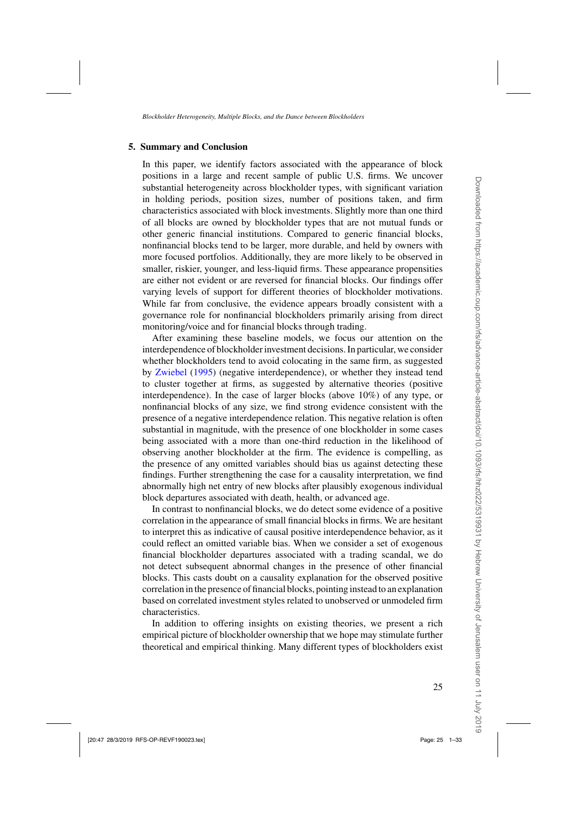# **5. Summary and Conclusion**

In this paper, we identify factors associated with the appearance of block positions in a large and recent sample of public U.S. firms. We uncover substantial heterogeneity across blockholder types, with significant variation in holding periods, position sizes, number of positions taken, and firm characteristics associated with block investments. Slightly more than one third of all blocks are owned by blockholder types that are not mutual funds or other generic financial institutions. Compared to generic financial blocks, nonfinancial blocks tend to be larger, more durable, and held by owners with more focused portfolios. Additionally, they are more likely to be observed in smaller, riskier, younger, and less-liquid firms. These appearance propensities are either not evident or are reversed for financial blocks. Our findings offer varying levels of support for different theories of blockholder motivations. While far from conclusive, the evidence appears broadly consistent with a governance role for nonfinancial blockholders primarily arising from direct monitoring/voice and for financial blocks through trading.

After examining these baseline models, we focus our attention on the interdependence of blockholder investment decisions. In particular, we consider whether blockholders tend to avoid colocating in the same firm, as suggested by [Zwiebel](#page-31-0) [\(1995](#page-31-0)) (negative interdependence), or whether they instead tend to cluster together at firms, as suggested by alternative theories (positive interdependence). In the case of larger blocks (above 10%) of any type, or nonfinancial blocks of any size, we find strong evidence consistent with the presence of a negative interdependence relation. This negative relation is often substantial in magnitude, with the presence of one blockholder in some cases being associated with a more than one-third reduction in the likelihood of observing another blockholder at the firm. The evidence is compelling, as the presence of any omitted variables should bias us against detecting these findings. Further strengthening the case for a causality interpretation, we find abnormally high net entry of new blocks after plausibly exogenous individual block departures associated with death, health, or advanced age.

In contrast to nonfinancial blocks, we do detect some evidence of a positive correlation in the appearance of small financial blocks in firms. We are hesitant to interpret this as indicative of causal positive interdependence behavior, as it could reflect an omitted variable bias. When we consider a set of exogenous financial blockholder departures associated with a trading scandal, we do not detect subsequent abnormal changes in the presence of other financial blocks. This casts doubt on a causality explanation for the observed positive correlation in the presence of financial blocks, pointing instead to an explanation based on correlated investment styles related to unobserved or unmodeled firm characteristics.

In addition to offering insights on existing theories, we present a rich empirical picture of blockholder ownership that we hope may stimulate further theoretical and empirical thinking. Many different types of blockholders exist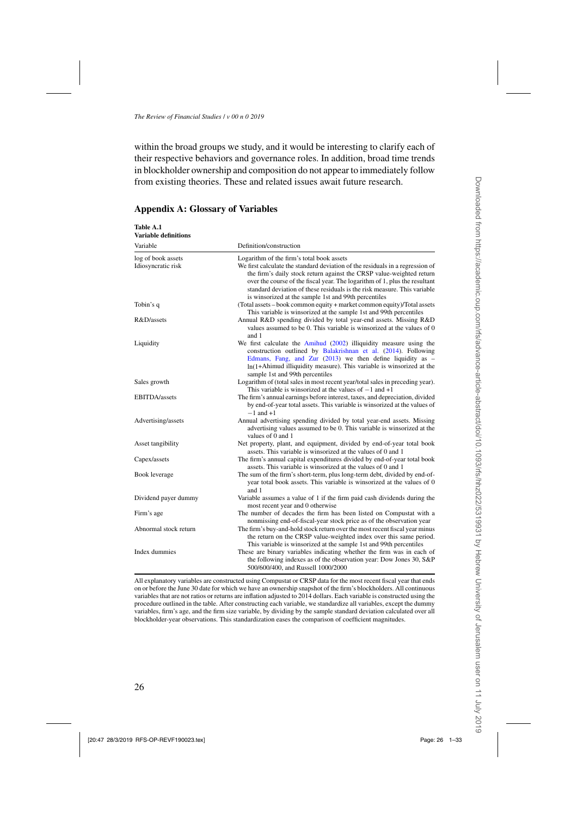<span id="page-25-0"></span>within the broad groups we study, and it would be interesting to clarify each of their respective behaviors and governance roles. In addition, broad time trends in blockholder ownership and composition do not appear to immediately follow from existing theories. These and related issues await future research.

| <b>Variable definitions</b> |                                                                                                                                                                                                                                                                                                                                                                         |
|-----------------------------|-------------------------------------------------------------------------------------------------------------------------------------------------------------------------------------------------------------------------------------------------------------------------------------------------------------------------------------------------------------------------|
| Variable                    | Definition/construction                                                                                                                                                                                                                                                                                                                                                 |
| log of book assets          | Logarithm of the firm's total book assets                                                                                                                                                                                                                                                                                                                               |
| Idiosyncratic risk          | We first calculate the standard deviation of the residuals in a regression of<br>the firm's daily stock return against the CRSP value-weighted return<br>over the course of the fiscal year. The logarithm of 1, plus the resultant<br>standard deviation of these residuals is the risk measure. This variable<br>is winsorized at the sample 1st and 99th percentiles |
| Tobin's q                   | (Total assets – book common equity + market common equity)/Total assets<br>This variable is winsorized at the sample 1st and 99th percentiles                                                                                                                                                                                                                           |
| R&D/assets                  | Annual R&D spending divided by total year-end assets. Missing R&D<br>values assumed to be 0. This variable is winsorized at the values of 0<br>and 1                                                                                                                                                                                                                    |
| Liquidity                   | We first calculate the Amihud $(2002)$ illiquidity measure using the<br>construction outlined by Balakrishnan et al. (2014). Following<br>Edmans, Fang, and Zur $(2013)$ we then define liquidity as -<br>ln(1+Ahimud illiquidity measure). This variable is winsorized at the<br>sample 1st and 99th percentiles                                                       |
| Sales growth                | Logarithm of (total sales in most recent year/total sales in preceding year).<br>This variable is winsorized at the values of $-1$ and $+1$                                                                                                                                                                                                                             |
| EBITDA/assets               | The firm's annual earnings before interest, taxes, and depreciation, divided<br>by end-of-year total assets. This variable is winsorized at the values of<br>$-1$ and $+1$                                                                                                                                                                                              |
| Advertising/assets          | Annual advertising spending divided by total year-end assets. Missing<br>advertising values assumed to be 0. This variable is winsorized at the<br>values of 0 and 1                                                                                                                                                                                                    |
| Asset tangibility           | Net property, plant, and equipment, divided by end-of-year total book<br>assets. This variable is winsorized at the values of 0 and 1                                                                                                                                                                                                                                   |
| Capex/assets                | The firm's annual capital expenditures divided by end-of-year total book<br>assets. This variable is winsorized at the values of 0 and 1                                                                                                                                                                                                                                |
| Book leverage               | The sum of the firm's short-term, plus long-term debt, divided by end-of-<br>year total book assets. This variable is winsorized at the values of 0<br>and 1                                                                                                                                                                                                            |
| Dividend payer dummy        | Variable assumes a value of 1 if the firm paid cash dividends during the<br>most recent year and 0 otherwise                                                                                                                                                                                                                                                            |
| Firm's age                  | The number of decades the firm has been listed on Compustat with a<br>nonmissing end-of-fiscal-year stock price as of the observation year                                                                                                                                                                                                                              |
| Abnormal stock return       | The firm's buy-and-hold stock return over the most recent fiscal year minus<br>the return on the CRSP value-weighted index over this same period.<br>This variable is winsorized at the sample 1st and 99th percentiles                                                                                                                                                 |
| Index dummies               | These are binary variables indicating whether the firm was in each of<br>the following indexes as of the observation year: Dow Jones 30, S&P<br>500/600/400, and Russell 1000/2000                                                                                                                                                                                      |

# **Appendix A: Glossary of Variables**

**Table A.1**

All explanatory variables are constructed using Compustat or CRSP data for the most recent fiscal year that ends on or before the June 30 date for which we have an ownership snapshot of the firm's blockholders. All continuous variables that are not ratios or returns are inflation adjusted to 2014 dollars. Each variable is constructed using the procedure outlined in the table. After constructing each variable, we standardize all variables, except the dummy variables, firm's age, and the firm size variable, by dividing by the sample standard deviation calculated over all blockholder-year observations. This standardization eases the comparison of coefficient magnitudes.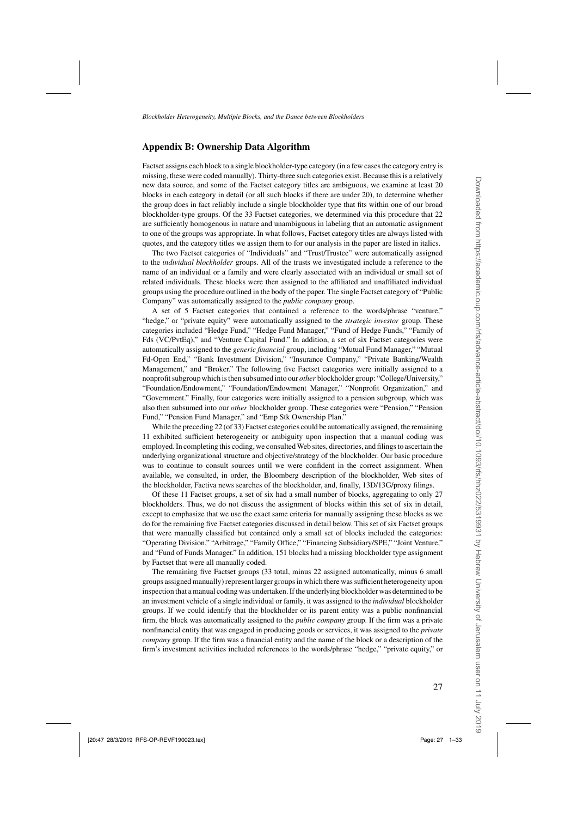### **Appendix B: Ownership Data Algorithm**

Factset assigns each block to a single blockholder-type category (in a few cases the category entry is missing, these were coded manually). Thirty-three such categories exist. Because this is a relatively new data source, and some of the Factset category titles are ambiguous, we examine at least 20 blocks in each category in detail (or all such blocks if there are under 20), to determine whether the group does in fact reliably include a single blockholder type that fits within one of our broad blockholder-type groups. Of the 33 Factset categories, we determined via this procedure that 22 are sufficiently homogenous in nature and unambiguous in labeling that an automatic assignment to one of the groups was appropriate. In what follows, Factset category titles are always listed with quotes, and the category titles we assign them to for our analysis in the paper are listed in italics.

The two Factset categories of "Individuals" and "Trust/Trustee" were automatically assigned to the *individual blockholder* groups. All of the trusts we investigated include a reference to the name of an individual or a family and were clearly associated with an individual or small set of related individuals. These blocks were then assigned to the affiliated and unaffiliated individual groups using the procedure outlined in the body of the paper. The single Factset category of "Public Company" was automatically assigned to the *public company* group.

A set of 5 Factset categories that contained a reference to the words/phrase "venture," "hedge," or "private equity" were automatically assigned to the *strategic investor* group. These categories included "Hedge Fund," "Hedge Fund Manager," "Fund of Hedge Funds," "Family of Fds (VC/PvtEq)," and "Venture Capital Fund." In addition, a set of six Factset categories were automatically assigned to the *generic financial* group, including "Mutual Fund Manager," "Mutual Fd-Open End," "Bank Investment Division," "Insurance Company," "Private Banking/Wealth Management," and "Broker." The following five Factset categories were initially assigned to a nonprofit subgroup which is then subsumed into our *other* blockholder group: "College/University," "Foundation/Endowment," "Foundation/Endowment Manager," "Nonprofit Organization," and "Government." Finally, four categories were initially assigned to a pension subgroup, which was also then subsumed into our *other* blockholder group. These categories were "Pension," "Pension Fund," "Pension Fund Manager," and "Emp Stk Ownership Plan."

While the preceding 22 (of 33) Factset categories could be automatically assigned, the remaining 11 exhibited sufficient heterogeneity or ambiguity upon inspection that a manual coding was employed. In completing this coding, we consulted Web sites, directories, and filings to ascertain the underlying organizational structure and objective/strategy of the blockholder. Our basic procedure was to continue to consult sources until we were confident in the correct assignment. When available, we consulted, in order, the Bloomberg description of the blockholder, Web sites of the blockholder, Factiva news searches of the blockholder, and, finally, 13D/13G/proxy filings.

Of these 11 Factset groups, a set of six had a small number of blocks, aggregating to only 27 blockholders. Thus, we do not discuss the assignment of blocks within this set of six in detail, except to emphasize that we use the exact same criteria for manually assigning these blocks as we do for the remaining five Factset categories discussed in detail below. This set of six Factset groups that were manually classified but contained only a small set of blocks included the categories: "Operating Division," "Arbitrage," "Family Office," "Financing Subsidiary/SPE," "Joint Venture," and "Fund of Funds Manager." In addition, 151 blocks had a missing blockholder type assignment by Factset that were all manually coded.

The remaining five Factset groups (33 total, minus 22 assigned automatically, minus 6 small groups assigned manually) represent larger groups in which there was sufficient heterogeneity upon inspection that a manual coding was undertaken. If the underlying blockholder was determined to be an investment vehicle of a single individual or family, it was assigned to the *individual* blockholder groups. If we could identify that the blockholder or its parent entity was a public nonfinancial firm, the block was automatically assigned to the *public company* group. If the firm was a private nonfinancial entity that was engaged in producing goods or services, it was assigned to the *private company* group. If the firm was a financial entity and the name of the block or a description of the firm's investment activities included references to the words/phrase "hedge," "private equity," or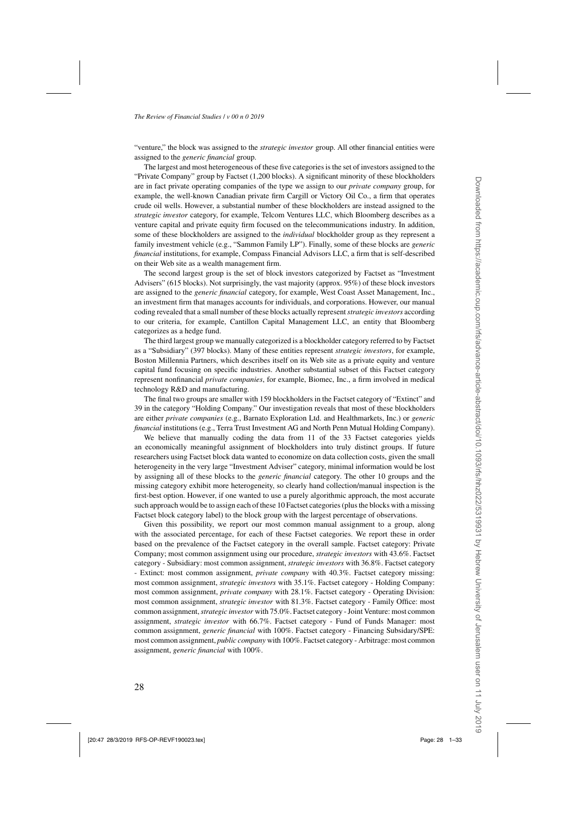"venture," the block was assigned to the *strategic investor* group. All other financial entities were assigned to the *generic financial* group.

The largest and most heterogeneous of these five categories is the set of investors assigned to the "Private Company" group by Factset (1,200 blocks). A significant minority of these blockholders are in fact private operating companies of the type we assign to our *private company* group, for example, the well-known Canadian private firm Cargill or Victory Oil Co., a firm that operates crude oil wells. However, a substantial number of these blockholders are instead assigned to the *strategic investor* category, for example, Telcom Ventures LLC, which Bloomberg describes as a venture capital and private equity firm focused on the telecommunications industry. In addition, some of these blockholders are assigned to the *individual* blockholder group as they represent a family investment vehicle (e.g., "Sammon Family LP"). Finally, some of these blocks are *generic financial* institutions, for example, Compass Financial Advisors LLC, a firm that is self-described on their Web site as a wealth management firm.

The second largest group is the set of block investors categorized by Factset as "Investment Advisers" (615 blocks). Not surprisingly, the vast majority (approx. 95%) of these block investors are assigned to the *generic financial* category, for example, West Coast Asset Management, Inc., an investment firm that manages accounts for individuals, and corporations. However, our manual coding revealed that a small number of these blocks actually represent*strategic investors* according to our criteria, for example, Cantillon Capital Management LLC, an entity that Bloomberg categorizes as a hedge fund.

The third largest group we manually categorized is a blockholder category referred to by Factset as a "Subsidiary" (397 blocks). Many of these entities represent *strategic investors*, for example, Boston Millennia Partners, which describes itself on its Web site as a private equity and venture capital fund focusing on specific industries. Another substantial subset of this Factset category represent nonfinancial *private companies*, for example, Biomec, Inc., a firm involved in medical technology R&D and manufacturing.

The final two groups are smaller with 159 blockholders in the Factset category of "Extinct" and 39 in the category "Holding Company." Our investigation reveals that most of these blockholders are either *private companies* (e.g., Barnato Exploration Ltd. and Healthmarkets, Inc.) or *generic financial* institutions (e.g., Terra Trust Investment AG and North Penn Mutual Holding Company).

We believe that manually coding the data from 11 of the 33 Factset categories yields an economically meaningful assignment of blockholders into truly distinct groups. If future researchers using Factset block data wanted to economize on data collection costs, given the small heterogeneity in the very large "Investment Adviser" category, minimal information would be lost by assigning all of these blocks to the *generic financial* category. The other 10 groups and the missing category exhibit more heterogeneity, so clearly hand collection/manual inspection is the first-best option. However, if one wanted to use a purely algorithmic approach, the most accurate such approach would be to assign each of these 10 Factset categories (plus the blocks with a missing Factset block category label) to the block group with the largest percentage of observations.

Given this possibility, we report our most common manual assignment to a group, along with the associated percentage, for each of these Factset categories. We report these in order based on the prevalence of the Factset category in the overall sample. Factset category: Private Company; most common assignment using our procedure, *strategic investors* with 43.6%. Factset category - Subsidiary: most common assignment, *strategic investors* with 36.8%. Factset category - Extinct: most common assignment, *private company* with 40.3%. Factset category missing: most common assignment, *strategic investors* with 35.1%. Factset category - Holding Company: most common assignment, *private company* with 28.1%. Factset category - Operating Division: most common assignment, *strategic investor* with 81.3%. Factset category - Family Office: most common assignment,*strategic investor* with 75.0%. Factset category - Joint Venture: most common assignment, *strategic investor* with 66.7%. Factset category - Fund of Funds Manager: most common assignment, *generic financial* with 100%. Factset category - Financing Subsidary/SPE: most common assignment, *public company* with 100%. Factset category - Arbitrage: most common assignment, *generic financial* with 100%.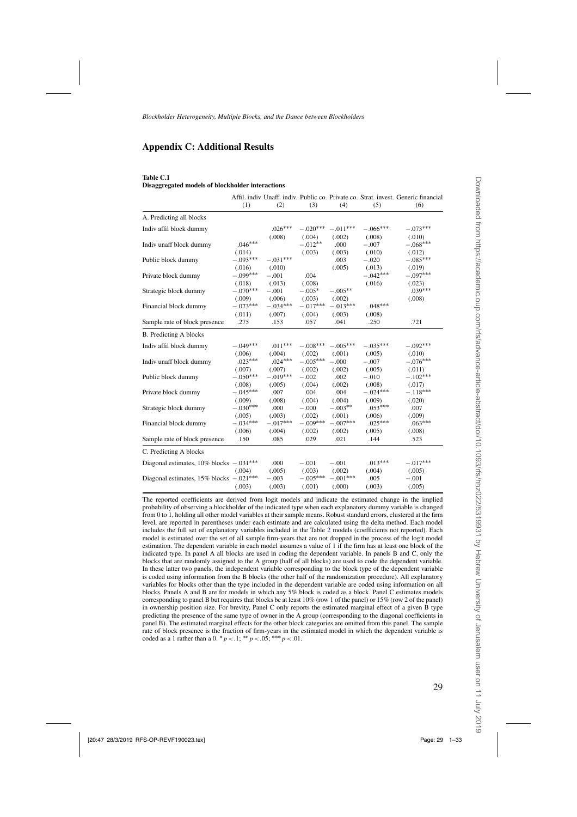# <span id="page-28-0"></span>**Appendix C: Additional Results**

#### **Table C.1 Disaggregated models of blockholder interactions**

|                                              | (1)                            | (2)                            | (3)                            | (4)                            | (5)                            | Affil. indiv Unaff. indiv. Public co. Private co. Strat. invest. Generic financial<br>(6) |
|----------------------------------------------|--------------------------------|--------------------------------|--------------------------------|--------------------------------|--------------------------------|-------------------------------------------------------------------------------------------|
| A. Predicting all blocks                     |                                |                                |                                |                                |                                |                                                                                           |
| Indiv affil block dummy                      |                                | $.026***$<br>(.008)            | $-.020***$<br>(.004)           | $-.011***$<br>(.002)           | $-.066***$<br>(.008)           | $-.073***$<br>(.010)                                                                      |
| Indiv unaff block dummy                      | $.046***$<br>(.014)            |                                | $-.012**$<br>(.003)            | .000<br>(.003)                 | $-.007$<br>(.010)              | $-.068***$<br>(.012)                                                                      |
| Public block dummy                           | $-.093***$<br>(.016)           | $-.031***$<br>(.010)           |                                | .003<br>(.005)                 | $-.020$<br>(.013)              | $-.085***$<br>(.019)                                                                      |
| Private block dummy                          | $-.099***$                     | $-.001$                        | .004                           |                                | $-.042***$                     | $-.097***$                                                                                |
| Strategic block dummy                        | (.018)<br>$-.070***$<br>(.009) | (.013)<br>$-.001$<br>(.006)    | (.008)<br>$-.005*$<br>(.003)   | $-.005**$<br>(.002)            | (.016)                         | (.023)<br>$.039***$<br>(.008)                                                             |
| Financial block dummy                        | $-.073***$<br>(.011)           | $-.034***$<br>(.007)           | $-.017***$<br>(.004)           | $-.013***$<br>(.003)           | $.048***$<br>(.008)            |                                                                                           |
| Sample rate of block presence                | .275                           | .153                           | .057                           | .041                           | .250                           | .721                                                                                      |
| <b>B.</b> Predicting A blocks                |                                |                                |                                |                                |                                |                                                                                           |
| Indiv affil block dummy                      | $-.049***$                     | $.011***$                      | $-.008***$                     | $-.005***$                     | $-.035***$                     | $-.092***$                                                                                |
| Indiv unaff block dummy                      | (.006)<br>$.023***$            | (.004)<br>$.024***$<br>(.007)  | (.002)<br>$-.005***$<br>(.002) | (.001)<br>$-.000$              | (.005)<br>$-.007$<br>(.005)    | (.010)<br>$-.076***$                                                                      |
| Public block dummy                           | (.007)<br>$-.050***$           | $-.019***$                     | $-.002$                        | (.002)<br>.002                 | $-.010$                        | (.011)<br>$-.102***$                                                                      |
| Private block dummy                          | (.008)<br>$-.045***$<br>(.009) | (.005)<br>.007<br>(.008)       | (.004)<br>.004<br>(.004)       | (.002)<br>.004<br>(.004)       | (.008)<br>$-.024***$<br>(.009) | (.017)<br>$-.118***$<br>(.020)                                                            |
| Strategic block dummy                        | $-.030***$                     | .000                           | $-.000$                        | $-.003**$                      | $.053***$                      | .007                                                                                      |
| Financial block dummy                        | (.005)<br>$-.034***$<br>(.006) | (.003)<br>$-.017***$<br>(.004) | (.002)<br>$-.009***$<br>(.002) | (.001)<br>$-.007***$<br>(.002) | (.006)<br>$.025***$<br>(.005)  | (.009)<br>$.063***$<br>(.008)                                                             |
| Sample rate of block presence                | .150                           | .085                           | .029                           | .021                           | .144                           | .523                                                                                      |
| C. Predicting A blocks                       |                                |                                |                                |                                |                                |                                                                                           |
| Diagonal estimates, $10\%$ blocks $-.031***$ | (.004)                         | .000<br>(.005)                 | $-.001$<br>(.003)              | $-.001$<br>(.002)              | $.013***$<br>(.004)            | $-.017***$<br>(.005)                                                                      |
| Diagonal estimates, 15% blocks -.021***      | (.003)                         | $-.003$<br>(.003)              | $-.005***$<br>(.001)           | $-.001***$<br>(.000)           | .005<br>(.003)                 | $-.001$<br>(.005)                                                                         |

The reported coefficients are derived from logit models and indicate the estimated change in the implied probability of observing a blockholder of the indicated type when each explanatory dummy variable is changed from 0 to 1, holding all other model variables at their sample means. Robust standard errors, clustered at the firm level, are reported in parentheses under each estimate and are calculated using the delta method. Each model includes the full set of explanatory variables included in the Table [2](#page-10-0) models (coefficients not reported). Each model is estimated over the set of all sample firm-years that are not dropped in the process of the logit model estimation. The dependent variable in each model assumes a value of 1 if the firm has at least one block of the indicated type. In panel A all blocks are used in coding the dependent variable. In panels B and C, only the blocks that are randomly assigned to the A group (half of all blocks) are used to code the dependent variable. In these latter two panels, the independent variable corresponding to the block type of the dependent variable is coded using information from the B blocks (the other half of the randomization procedure). All explanatory variables for blocks other than the type included in the dependent variable are coded using information on all blocks. Panels A and B are for models in which any 5% block is coded as a block. Panel C estimates models corresponding to panel B but requires that blocks be at least 10% (row 1 of the panel) or 15% (row 2 of the panel) in ownership position size. For brevity, Panel C only reports the estimated marginal effect of a given B type predicting the presence of the same type of owner in the A group (corresponding to the diagonal coefficients in panel B). The estimated marginal effects for the other block categories are omitted from this panel. The sample rate of block presence is the fraction of firm-years in the estimated model in which the dependent variable is coded as a 1 rather than a  $0.$  \*  $p < 0.1$ ; \*\*  $p < 0.05$ ; \*\*\*  $p < 0.01$ .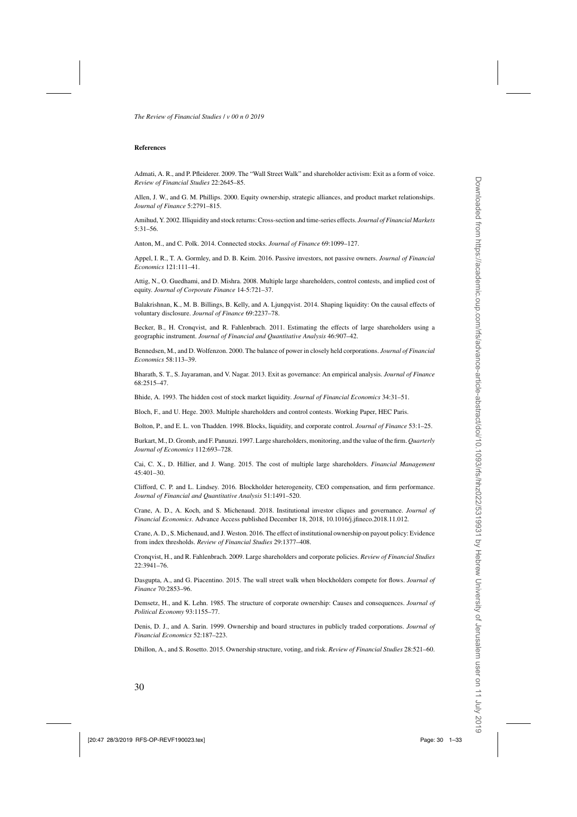#### <span id="page-29-0"></span>**References**

Admati, A. R., and P. Pfleiderer. 2009. The "Wall Street Walk" and shareholder activism: Exit as a form of voice. *Review of Financial Studies* 22:2645–85.

Allen, J. W., and G. M. Phillips. 2000. Equity ownership, strategic alliances, and product market relationships. *Journal of Finance* 5:2791–815.

Amihud, Y. 2002. Illiquidity and stock returns: Cross-section and time-series effects. *Journal of Financial Markets* 5:31–56.

Anton, M., and C. Polk. 2014. Connected stocks. *Journal of Finance* 69:1099–127.

Appel, I. R., T. A. Gormley, and D. B. Keim. 2016. Passive investors, not passive owners. *Journal of Financial Economics* 121:111–41.

Attig, N., O. Guedhami, and D. Mishra. 2008. Multiple large shareholders, control contests, and implied cost of equity. *Journal of Corporate Finance* 14-5:721–37.

Balakrishnan, K., M. B. Billings, B. Kelly, and A. Ljungqvist. 2014. Shaping liquidity: On the causal effects of voluntary disclosure. *Journal of Finance* 69:2237–78.

Becker, B., H. Cronqvist, and R. Fahlenbrach. 2011. Estimating the effects of large shareholders using a geographic instrument. *Journal of Financial and Quantitative Analysis* 46:907–42.

Bennedsen, M., and D. Wolfenzon. 2000. The balance of power in closely held corporations. *Journal of Financial Economics* 58:113–39.

Bharath, S. T., S. Jayaraman, and V. Nagar. 2013. Exit as governance: An empirical analysis. *Journal of Finance* 68:2515–47.

Bhide, A. 1993. The hidden cost of stock market liquidity. *Journal of Financial Economics* 34:31–51.

Bloch, F., and U. Hege. 2003. Multiple shareholders and control contests. Working Paper, HEC Paris.

Bolton, P., and E. L. von Thadden. 1998. Blocks, liquidity, and corporate control. *Journal of Finance* 53:1–25.

Burkart, M., D. Gromb, and F. Panunzi. 1997. Large shareholders, monitoring, and the value of the firm. *Quarterly Journal of Economics* 112:693–728.

Cai, C. X., D. Hillier, and J. Wang. 2015. The cost of multiple large shareholders. *Financial Management* 45:401–30.

Clifford, C. P. and L. Lindsey. 2016. Blockholder heterogeneity, CEO compensation, and firm performance. *Journal of Financial and Quantitative Analysis* 51:1491–520.

Crane, A. D., A. Koch, and S. Michenaud. 2018. Institutional investor cliques and governance. *Journal of Financial Economics*. Advance Access published December 18, 2018, 10.1016/j.jfineco.2018.11.012.

Crane, A. D., S. Michenaud, and J. Weston. 2016. The effect of institutional ownership on payout policy: Evidence from index thresholds. *Review of Financial Studies* 29:1377–408.

Cronqvist, H., and R. Fahlenbrach. 2009. Large shareholders and corporate policies. *Review of Financial Studies* 22:3941–76.

Dasgupta, A., and G. Piacentino. 2015. The wall street walk when blockholders compete for flows. *Journal of Finance* 70:2853–96.

Demsetz, H., and K. Lehn. 1985. The structure of corporate ownership: Causes and consequences. *Journal of Political Economy* 93:1155–77.

Denis, D. J., and A. Sarin. 1999. Ownership and board structures in publicly traded corporations. *Journal of Financial Economics* 52:187–223.

Dhillon, A., and S. Rosetto. 2015. Ownership structure, voting, and risk. *Review of Financial Studies* 28:521–60.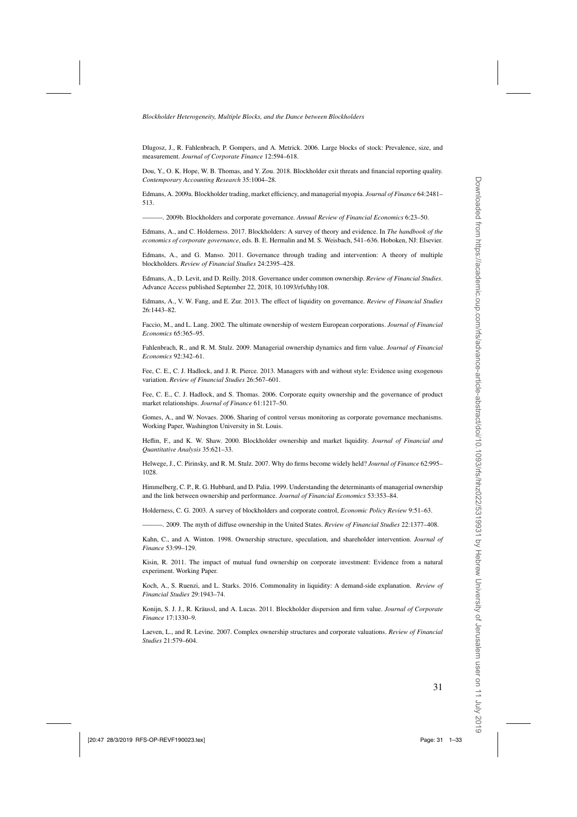<span id="page-30-0"></span>Dlugosz, J., R. Fahlenbrach, P. Gompers, and A. Metrick. 2006. Large blocks of stock: Prevalence, size, and measurement. *Journal of Corporate Finance* 12:594–618.

Dou, Y., O. K. Hope, W. B. Thomas, and Y. Zou. 2018. Blockholder exit threats and financial reporting quality. *Contemporary Accounting Research* 35:1004–28.

Edmans, A. 2009a. Blockholder trading, market efficiency, and managerial myopia. *Journal of Finance* 64:2481– 513.

———. 2009b. Blockholders and corporate governance. *Annual Review of Financial Economics* 6:23–50.

Edmans, A., and C. Holderness. 2017. Blockholders: A survey of theory and evidence. In *The handbook of the economics of corporate governance*, eds. B. E. Hermalin and M. S. Weisbach, 541–636. Hoboken, NJ: Elsevier.

Edmans, A., and G. Manso. 2011. Governance through trading and intervention: A theory of multiple blockholders. *Review of Financial Studies* 24:2395–428.

Edmans, A., D. Levit, and D. Reilly. 2018. Governance under common ownership. *Review of Financial Studies*. Advance Access published September 22, 2018, 10.1093/rfs/hhy108.

Edmans, A., V. W. Fang, and E. Zur. 2013. The effect of liquidity on governance. *Review of Financial Studies* 26:1443–82.

Faccio, M., and L. Lang. 2002. The ultimate ownership of western European corporations. *Journal of Financial Economics* 65:365–95.

Fahlenbrach, R., and R. M. Stulz. 2009. Managerial ownership dynamics and firm value. *Journal of Financial Economics* 92:342–61.

Fee, C. E., C. J. Hadlock, and J. R. Pierce. 2013. Managers with and without style: Evidence using exogenous variation. *Review of Financial Studies* 26:567–601.

Fee, C. E., C. J. Hadlock, and S. Thomas. 2006. Corporate equity ownership and the governance of product market relationships. *Journal of Finance* 61:1217–50.

Gomes, A., and W. Novaes. 2006. Sharing of control versus monitoring as corporate governance mechanisms. Working Paper, Washington University in St. Louis.

Heflin, F., and K. W. Shaw. 2000. Blockholder ownership and market liquidity. *Journal of Financial and Quantitative Analysis* 35:621–33.

Helwege, J., C. Pirinsky, and R. M. Stulz. 2007. Why do firms become widely held? *Journal of Finance* 62:995– 1028.

Himmelberg, C. P., R. G. Hubbard, and D. Palia. 1999. Understanding the determinants of managerial ownership and the link between ownership and performance. *Journal of Financial Economics* 53:353–84.

Holderness, C. G. 2003. A survey of blockholders and corporate control, *Economic Policy Review* 9:51–63.

———. 2009. The myth of diffuse ownership in the United States. *Review of Financial Studies* 22:1377–408.

Kahn, C., and A. Winton. 1998. Ownership structure, speculation, and shareholder intervention. *Journal of Finance* 53:99–129.

Kisin, R. 2011. The impact of mutual fund ownership on corporate investment: Evidence from a natural experiment. Working Paper.

Koch, A., S. Ruenzi, and L. Starks. 2016. Commonality in liquidity: A demand-side explanation. *Review of Financial Studies* 29:1943–74.

Konijn, S. J. J., R. Kräussl, and A. Lucas. 2011. Blockholder dispersion and firm value. *Journal of Corporate Finance* 17:1330–9.

Laeven, L., and R. Levine. 2007. Complex ownership structures and corporate valuations. *Review of Financial Studies* 21:579–604.